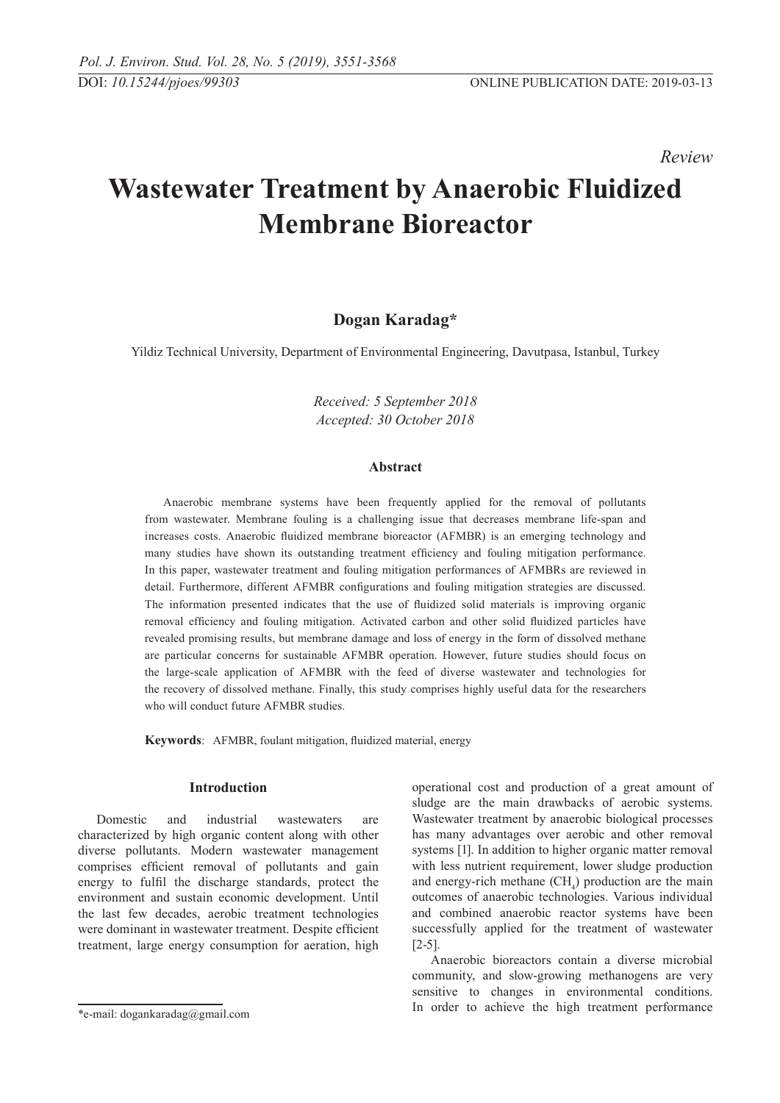*Review* 

# **Wastewater Treatment by Anaerobic Fluidized Membrane Bioreactor**

# **Dogan Karadag\***

Yildiz Technical University, Department of Environmental Engineering, Davutpasa, Istanbul, Turkey

*Received: 5 September 2018 Accepted: 30 October 2018*

#### **Abstract**

Anaerobic membrane systems have been frequently applied for the removal of pollutants from wastewater. Membrane fouling is a challenging issue that decreases membrane life-span and increases costs. Anaerobic fluidized membrane bioreactor (AFMBR) is an emerging technology and many studies have shown its outstanding treatment efficiency and fouling mitigation performance. In this paper, wastewater treatment and fouling mitigation performances of AFMBRs are reviewed in detail. Furthermore, different AFMBR configurations and fouling mitigation strategies are discussed. The information presented indicates that the use of fluidized solid materials is improving organic removal efficiency and fouling mitigation. Activated carbon and other solid fluidized particles have revealed promising results, but membrane damage and loss of energy in the form of dissolved methane are particular concerns for sustainable AFMBR operation. However, future studies should focus on the large-scale application of AFMBR with the feed of diverse wastewater and technologies for the recovery of dissolved methane. Finally, this study comprises highly useful data for the researchers who will conduct future AFMBR studies.

**Keywords**: AFMBR, foulant mitigation, fluidized material, energy

#### **Introduction**

Domestic and industrial wastewaters are characterized by high organic content along with other diverse pollutants. Modern wastewater management comprises efficient removal of pollutants and gain energy to fulfil the discharge standards, protect the environment and sustain economic development. Until the last few decades, aerobic treatment technologies were dominant in wastewater treatment. Despite efficient treatment, large energy consumption for aeration, high operational cost and production of a great amount of sludge are the main drawbacks of aerobic systems. Wastewater treatment by anaerobic biological processes has many advantages over aerobic and other removal systems [1]. In addition to higher organic matter removal with less nutrient requirement, lower sludge production and energy-rich methane  $(CH_4)$  production are the main outcomes of anaerobic technologies. Various individual and combined anaerobic reactor systems have been successfully applied for the treatment of wastewater [2-5].

Anaerobic bioreactors contain a diverse microbial community, and slow-growing methanogens are very sensitive to changes in environmental conditions. In order to achieve the high treatment performance

<sup>\*</sup>e-mail: dogankaradag@gmail.com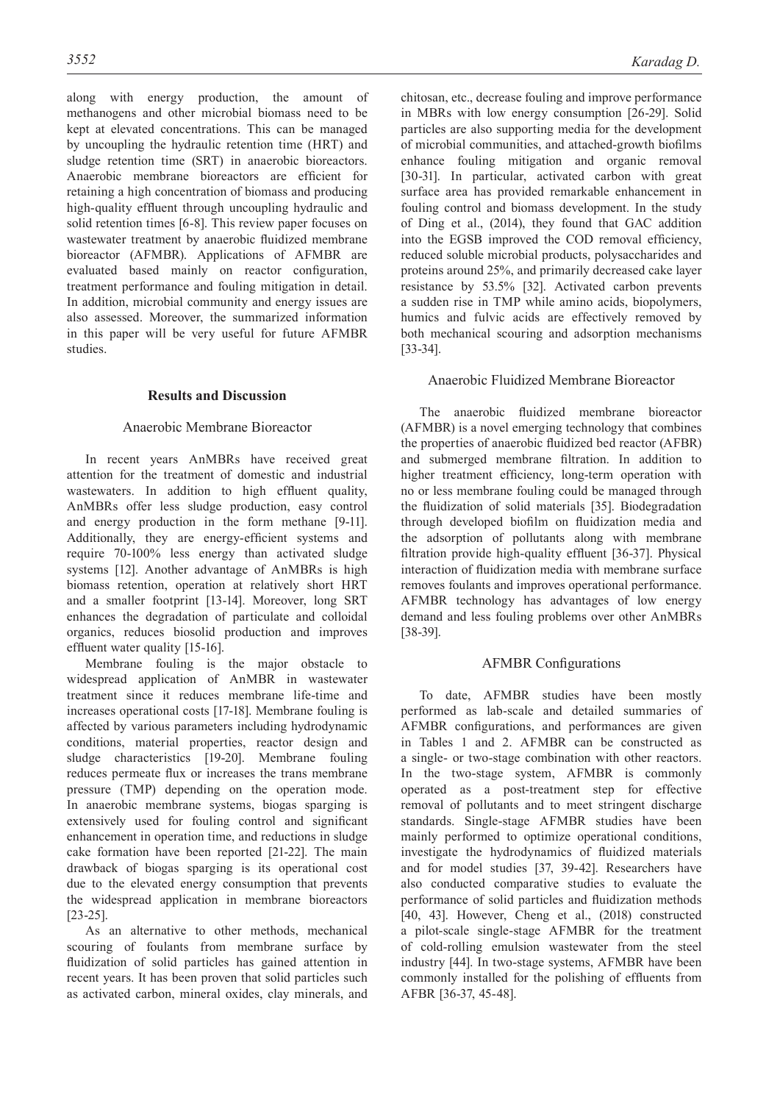along with energy production, the amount of methanogens and other microbial biomass need to be kept at elevated concentrations. This can be managed by uncoupling the hydraulic retention time (HRT) and sludge retention time (SRT) in anaerobic bioreactors. Anaerobic membrane bioreactors are efficient for retaining a high concentration of biomass and producing high-quality effluent through uncoupling hydraulic and solid retention times [6-8]. This review paper focuses on wastewater treatment by anaerobic fluidized membrane bioreactor (AFMBR). Applications of AFMBR are evaluated based mainly on reactor configuration, treatment performance and fouling mitigation in detail. In addition, microbial community and energy issues are also assessed. Moreover, the summarized information in this paper will be very useful for future AFMBR studies.

# **Results and Discussion**

# Anaerobic Membrane Bioreactor

In recent years AnMBRs have received great attention for the treatment of domestic and industrial wastewaters. In addition to high effluent quality, AnMBRs offer less sludge production, easy control and energy production in the form methane [9-11]. Additionally, they are energy-efficient systems and require 70-100% less energy than activated sludge systems [12]. Another advantage of AnMBRs is high biomass retention, operation at relatively short HRT and a smaller footprint [13-14]. Moreover, long SRT enhances the degradation of particulate and colloidal organics, reduces biosolid production and improves effluent water quality [15-16].

Membrane fouling is the major obstacle to widespread application of AnMBR in wastewater treatment since it reduces membrane life-time and increases operational costs [17-18]. Membrane fouling is affected by various parameters including hydrodynamic conditions, material properties, reactor design and sludge characteristics [19-20]. Membrane fouling reduces permeate flux or increases the trans membrane pressure (TMP) depending on the operation mode. In anaerobic membrane systems, biogas sparging is extensively used for fouling control and significant enhancement in operation time, and reductions in sludge cake formation have been reported [21-22]. The main drawback of biogas sparging is its operational cost due to the elevated energy consumption that prevents the widespread application in membrane bioreactors [23-25].

As an alternative to other methods, mechanical scouring of foulants from membrane surface by fluidization of solid particles has gained attention in recent years. It has been proven that solid particles such as activated carbon, mineral oxides, clay minerals, and

chitosan, etc., decrease fouling and improve performance in MBRs with low energy consumption [26-29]. Solid particles are also supporting media for the development of microbial communities, and attached-growth biofilms enhance fouling mitigation and organic removal [30-31]. In particular, activated carbon with great surface area has provided remarkable enhancement in fouling control and biomass development. In the study of Ding et al., (2014), they found that GAC addition into the EGSB improved the COD removal efficiency, reduced soluble microbial products, polysaccharides and proteins around 25%, and primarily decreased cake layer resistance by 53.5% [32]. Activated carbon prevents a sudden rise in TMP while amino acids, biopolymers, humics and fulvic acids are effectively removed by both mechanical scouring and adsorption mechanisms [33-34].

# Anaerobic Fluidized Membrane Bioreactor

The anaerobic fluidized membrane bioreactor (AFMBR) is a novel emerging technology that combines the properties of anaerobic fluidized bed reactor (AFBR) and submerged membrane filtration. In addition to higher treatment efficiency, long-term operation with no or less membrane fouling could be managed through the fluidization of solid materials [35]. Biodegradation through developed biofilm on fluidization media and the adsorption of pollutants along with membrane filtration provide high-quality effluent [36-37]. Physical interaction of fluidization media with membrane surface removes foulants and improves operational performance. AFMBR technology has advantages of low energy demand and less fouling problems over other AnMBRs [38-39].

# AFMBR Configurations

To date, AFMBR studies have been mostly performed as lab-scale and detailed summaries of AFMBR configurations, and performances are given in Tables 1 and 2. AFMBR can be constructed as a single- or two-stage combination with other reactors. In the two-stage system, AFMBR is commonly operated as a post-treatment step for effective removal of pollutants and to meet stringent discharge standards. Single-stage AFMBR studies have been mainly performed to optimize operational conditions, investigate the hydrodynamics of fluidized materials and for model studies [37, 39-42]. Researchers have also conducted comparative studies to evaluate the performance of solid particles and fluidization methods [40, 43]. However, Cheng et al., (2018) constructed a pilot-scale single-stage AFMBR for the treatment of cold-rolling emulsion wastewater from the steel industry [44]. In two-stage systems, AFMBR have been commonly installed for the polishing of effluents from AFBR [36-37, 45-48].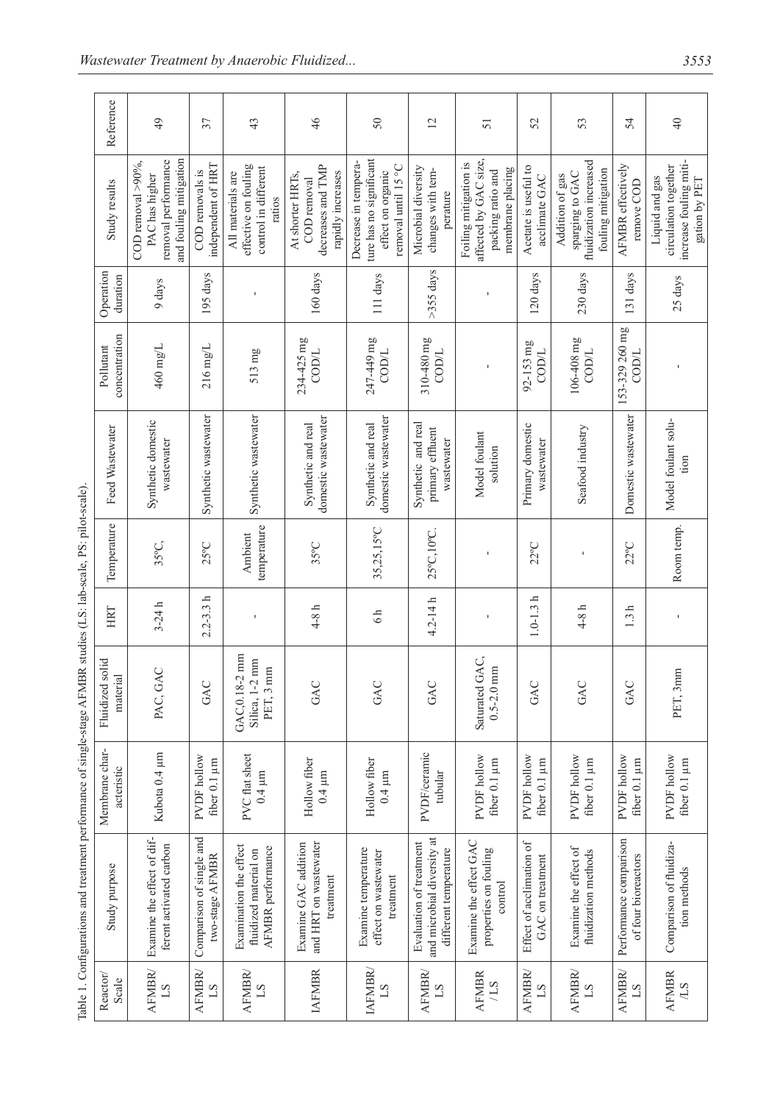|                                                                                                                  | Reference                      | 49                                                                                       | 37                                          | 43                                                                          | 46                                                                        | 50                                                                                          | $\overline{2}$                                                                 | 51                                                                                      | 52                                           | 53                                                                                 | 54                                            | $\overline{40}$                                                                   |
|------------------------------------------------------------------------------------------------------------------|--------------------------------|------------------------------------------------------------------------------------------|---------------------------------------------|-----------------------------------------------------------------------------|---------------------------------------------------------------------------|---------------------------------------------------------------------------------------------|--------------------------------------------------------------------------------|-----------------------------------------------------------------------------------------|----------------------------------------------|------------------------------------------------------------------------------------|-----------------------------------------------|-----------------------------------------------------------------------------------|
|                                                                                                                  | Study results                  | and fouling mitigation<br>removal performance<br>COD removal $>90\%$ ,<br>PAC has higher | independent of HRT<br>COD removals is       | effective on fouling<br>control in different<br>All materials are<br>ratios | decreases and TMP<br>rapidly increases<br>At shorter HRTs.<br>COD removal | ture has no significant<br>Decrease in tempera-<br>removal until 15 °C<br>effect on organic | Microbial diversity<br>changes with tem-<br>perature                           | affected by GAC size,<br>Foiling mitigation is<br>membrane placing<br>packing ratio and | Acetate is useful to<br>acclimate GAC        | fluidization increased<br>fouling mitigation<br>sparging to GAC<br>Addition of gas | AFMBR effectively<br>remove COD               | increase fouling miti-<br>circulation together<br>Liquid and gas<br>gation by PET |
|                                                                                                                  | Operation<br>duration          | 9 days                                                                                   | 195 days                                    |                                                                             | 160 days                                                                  | 111 days                                                                                    | $>355$ days                                                                    | $\mathbf I$                                                                             | 120 days                                     | 230 days                                                                           | 131 days                                      | 25 days                                                                           |
| Table 1. Configurations and treatment performance of single-stage AFMBR studies (LS: lab-scale, PS: pilot-scale) | concentration<br>Pollutant     | 460 mg/L                                                                                 | 216 mg/L                                    | 513 mg                                                                      | 234-425 mg<br>COD/L                                                       | 247-449 mg<br>COD/L                                                                         | 310-480 mg<br>COD/L                                                            |                                                                                         | 92-153 mg<br>COD/L                           | 106-408 mg<br>COD/L                                                                | 153-329 260 mg<br>COD/L                       |                                                                                   |
|                                                                                                                  | Feed Wastewater                | Synthetic domestic<br>wastewater                                                         | Synthetic wastewater                        | Synthetic wastewater                                                        | domestic wastewater<br>Synthetic and real                                 | domestic wastewater<br>Synthetic and real                                                   | Synthetic and real<br>primary effluent<br>wastewater                           | Model foulant<br>solution                                                               | Primary domestic<br>wastewater               | Seafood industry                                                                   | Domestic wastewater                           | Model foulant solu-<br>tion                                                       |
|                                                                                                                  | Temperature                    | 35°C,                                                                                    | 25°C                                        | temperature<br>Ambient                                                      | 35°C                                                                      | 35,25,15°C                                                                                  | 25°C,10°C                                                                      | $\mathbf I$                                                                             | $22^{\circ}$ C                               | I                                                                                  | $22^{\circ}$ C                                | Room temp.                                                                        |
|                                                                                                                  | HRT                            | $3 - 24 h$                                                                               | $2.2 - 3.3 h$                               |                                                                             | $4-8$ h                                                                   | 6h                                                                                          | $4.2 - 14h$                                                                    |                                                                                         | $1.0 - 1.3h$                                 | $4-8h$                                                                             | 1.3 h                                         | ı                                                                                 |
|                                                                                                                  | solid<br>material<br>Fluidized | PAC, GAC                                                                                 | GAC                                         | GAC, 0.18-2 mm<br>Silica, 1-2 mm<br>PET, 3 mm                               | GAC                                                                       | GAC                                                                                         | GAC                                                                            | Saturated GAC,<br>$0.5 - 2.0$ mm                                                        | GAC                                          | GAC                                                                                | GAC                                           | PET, 3mm                                                                          |
|                                                                                                                  | Membrane char-<br>acteristic   | Kubota 0.4 µm                                                                            | PVDF hollow<br>fiber 0.1 µm                 | PVC flat sheet<br>$0.4 \,\mu m$                                             | Hollow fiber<br>$0.4 \,\mathrm{\upmu m}$                                  | Hollow fiber<br>$0.4 \,\mathrm{\upmu m}$                                                    | PVDF/ceramic<br>tubular                                                        | PVDF hollow<br>fiber 0.1 µm                                                             | <b>PVDF</b> hollow<br>fiber 0.1 µm           | PVDF hollow<br>fiber 0.1 µm                                                        | PVDF hollow<br>fiber 0.1 µm                   | PVDF hollow<br>fiber 0.1 µm                                                       |
|                                                                                                                  | Study purpose                  | Examine the effect of dif-<br>ferent activated carbon                                    | Comparison of single and<br>two-stage AFMBR | Examination the effect<br>AFMBR performance<br>fluidized material on        | and HRT on wastewater<br>Examine GAC addition<br>treatment                | Examine temperature<br>effect on wastewater<br>treatment                                    | and microbial diversity at<br>Evaluation of treatment<br>different temperature | Examine the effect GAC<br>properties on fouling<br>control                              | Effect of acclimation of<br>GAC on treatment | Examine the effect of<br>fluidization methods                                      | Performance comparison<br>of four bioreactors | Comparison of fluidiza-<br>tion methods                                           |
|                                                                                                                  | Reactor/<br>Scale              | <b>AFMBR</b><br>$^{21}$                                                                  | <b>AFMBR</b><br>$^{1S}$                     | <b>AFMBR</b><br>$^{21}$                                                     | <b>IAFMBR</b>                                                             | <b>IAFMBR</b><br>21                                                                         | <b>AFMBR</b><br>$^{2}$                                                         | <b>AFMBR</b><br>27/                                                                     | <b>AFMBR</b><br>$^{21}$                      | <b>AFMBR</b><br>$^{21}$                                                            | <b>AFMBR</b><br>$^{21}$                       | <b>AFMBR</b><br>7.5                                                               |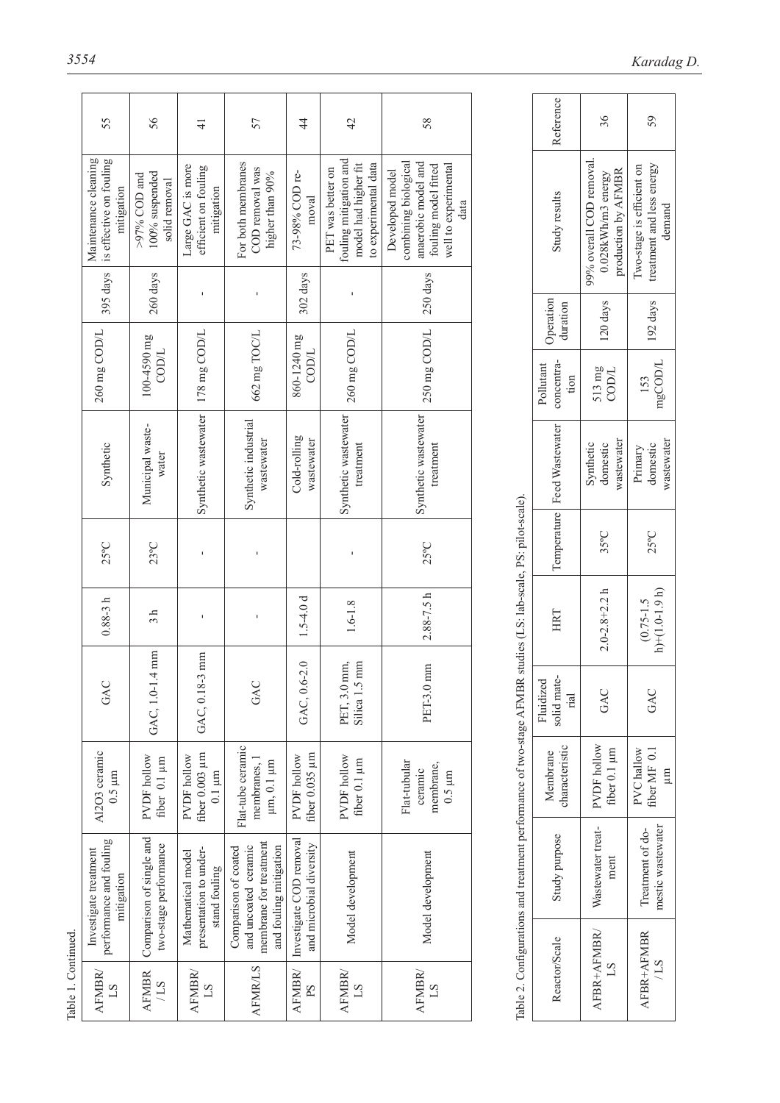| 55                                                            | 56                                                                                         | $\frac{1}{4}$                                                                    | 57                                                                                                                      | 4                                                                                                                                     | 42                                                                                          | 58                                                                                                                     |                                                                       | Reference                                                                                                         | 36                                   | 59                                                                                 |
|---------------------------------------------------------------|--------------------------------------------------------------------------------------------|----------------------------------------------------------------------------------|-------------------------------------------------------------------------------------------------------------------------|---------------------------------------------------------------------------------------------------------------------------------------|---------------------------------------------------------------------------------------------|------------------------------------------------------------------------------------------------------------------------|-----------------------------------------------------------------------|-------------------------------------------------------------------------------------------------------------------|--------------------------------------|------------------------------------------------------------------------------------|
| Maintenance cleaning<br>is effective on fouling<br>mitigation | 100% suspended<br>$>97\%$ COD and<br>solid removal                                         | Large GAC is more<br>efficient on fouling<br>mitigation                          | For both membranes<br>COD removal was<br>higher than 90%                                                                | 73-98% COD re-<br>moval                                                                                                               | fouling mitigation and<br>to experimental data<br>model had higher fit<br>PET was better on | combining biological<br>anaerobic model and<br>well to experimental<br>fouling model fitted<br>Developed model<br>data |                                                                       | Study results                                                                                                     | $0.028$ k $Wh/m3$ energy             | treatment and less energy<br>Two-stage is efficient on<br>demand                   |
|                                                               |                                                                                            | f,                                                                               | $\mathbf I$                                                                                                             |                                                                                                                                       | $\mathbf{I}$                                                                                |                                                                                                                        |                                                                       |                                                                                                                   |                                      | 192 days                                                                           |
|                                                               | $100-4590$ mg<br>COD/L                                                                     |                                                                                  |                                                                                                                         | 860-1240 mg<br>COD/L                                                                                                                  |                                                                                             |                                                                                                                        |                                                                       | concentra-<br>Pollutant<br>tion                                                                                   | 513 mg<br>COD/L                      | mgCOD/L<br>153                                                                     |
| Synthetic                                                     | Municipal waste-<br>water                                                                  |                                                                                  | Synthetic industrial<br>wastewater                                                                                      | Cold-rolling<br>wastewater                                                                                                            | treatment                                                                                   | treatment                                                                                                              |                                                                       | Feed Wastewater                                                                                                   | wastewater<br>Synthetic<br>domestic  | wastewater<br>domestic<br>Primary                                                  |
| $25^{\circ}$ C                                                | $23^{\circ}$ C                                                                             | f,                                                                               | $\mathbf{I}$                                                                                                            |                                                                                                                                       |                                                                                             | $25^{\circ}$ C                                                                                                         |                                                                       |                                                                                                                   | 35°C                                 | $25^{\circ}$ C                                                                     |
| $0.88 - 3h$                                                   | 3 <sub>h</sub>                                                                             | f,                                                                               | $\mathbf{I}$                                                                                                            | $1.5 - 4.0d$                                                                                                                          | $1.6 - 1.8$                                                                                 | $2.88 - 7.5 h$                                                                                                         |                                                                       | HRT                                                                                                               |                                      | $h$ )+(1.0-1.9 h)<br>$(0.75 - 1.5)$                                                |
| GAC                                                           |                                                                                            | GAC, 0.18-                                                                       | GAC                                                                                                                     | GAC, 0.6-2.0                                                                                                                          | PET, 3.0 mm,<br>mm<br>Silica 1.5                                                            | mm<br>PET-3.0 r                                                                                                        |                                                                       | solid mate-<br>Fluidized<br>rial                                                                                  | GAC                                  | GAC                                                                                |
| Al2O3 ceramic<br>$0.5 \mu m$                                  | <b>PVDF</b> hollow<br>fiber 0.1 µm                                                         | fiber 0.003 µm<br>PVDF hollow<br>$0.1 \mu m$                                     | membranes, 1<br>µm, 0.1 µm                                                                                              | fiber $0.035 \mu m$<br>PVDF hollow                                                                                                    | <b>PVDF</b> hollow<br>fiber 0.1 µm                                                          | Flat-tubular<br>membrane,<br>ceramic<br>$0.5 \,\rm \mu m$                                                              |                                                                       | characteristic<br>Membrane                                                                                        | PVDF hollow<br>fiber 0.1 µm          | fiber MF 0.1<br>PVC hallow<br>$\mathbb{H}$                                         |
|                                                               |                                                                                            |                                                                                  |                                                                                                                         |                                                                                                                                       |                                                                                             |                                                                                                                        |                                                                       | Study purpose                                                                                                     | Wastewater treat-<br>ment            | mestic wastewater<br>Treatment of do-                                              |
| <b>AFMBR</b><br>$^{1S}$                                       | <b>AFMBR</b><br>27/                                                                        | <b>AFMBR</b><br>$^{21}$                                                          | <b>AFMR/LS</b>                                                                                                          | <b>AFMBR</b><br>PS                                                                                                                    | <b>AFMBR</b><br>$^{21}$                                                                     | <b>AFMBR</b><br>$^{21}$                                                                                                |                                                                       | Reactor/Scale                                                                                                     | AFBR+AFMBR<br>LS.                    | AFBR+AFMBR<br>/LS                                                                  |
|                                                               | 395 days<br>260 mg COD/L<br>performance and fouling<br>Investigate treatment<br>mitigation | 260 days<br>GAC, 1.0-1.4 mm<br>Comparison of single and<br>two-stage performance | 178 mg COD/L<br>Synthetic wastewater<br>$3 \text{ mm}$<br>presentation to under-<br>Mathematical model<br>stand fouling | 662 mg TOC/L<br>Flat-tube ceramic<br>membrane for treatment<br>and uncoated ceramic<br>Comparison of coated<br>and fouling mitigation | 302 days<br>Investigate COD removal<br>and microbial diversity                              | 260 mg COD/L<br>Synthetic wastewater<br>Model development                                                              | 250 days<br>250 mg COD/L<br>Synthetic wastewater<br>Model development | studies (LS: lab-scale, PS: pilot-scale).<br>Table 2. Configurations and treatment performance of two-stage AFMBR | Operation<br>duration<br>Temperature | 99% overall COD removal.<br>production by AFMBR<br>120 days<br>$2.0 - 2.8 + 2.2 h$ |

| Referenc                         | 36                                                                        | 59                                                               |  |  |
|----------------------------------|---------------------------------------------------------------------------|------------------------------------------------------------------|--|--|
| Study results                    | 9% overall COD removal<br>production by AFMBR<br>$0.028$ k $Wh/m3$ energy | Iwo-stage is efficient on<br>treatment and less energy<br>demand |  |  |
| Operation<br>duration            | 120 days                                                                  | 192 days                                                         |  |  |
| concentra-<br>Pollutant<br>tion  | 513 mg<br>COD/L                                                           | mgCOD/L<br>153                                                   |  |  |
| Temperature   Feed Wastewater    | wastewater<br>Synthetic<br>domestic                                       | wastewater<br>domestic<br>Primary                                |  |  |
|                                  | 35°C                                                                      | $25^{\circ}$ C                                                   |  |  |
| HRT                              | $2.0 - 2.8 + 2.2 h$                                                       | $h$ + (1.0-1.9 h)<br>$(0.75 - 1.5)$                              |  |  |
| solid mate-<br>Fluidized<br>rial | GAC                                                                       | GAC                                                              |  |  |
| characteristic<br>Membrane       | PVDF hollow<br>fiber $0.1 \mu m$                                          | PVC hallow<br>fiber MF 0.1<br>Ξ                                  |  |  |
| Study purpose                    | Wastewater treat-<br>ment                                                 | mestic wastewater<br>Treatment of do-                            |  |  |
| Reactor/Scale                    | AFBR+AFMBR/                                                               | <b>AFBR+AFMBR</b><br>/LS                                         |  |  |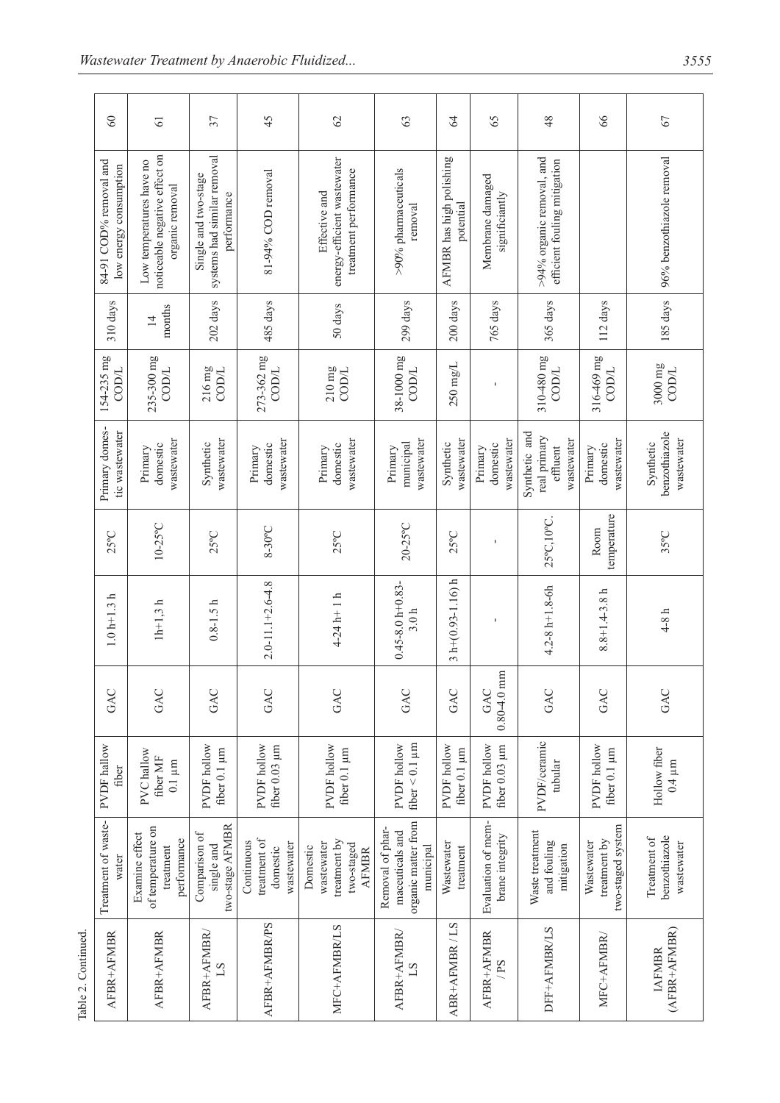|                    | $\infty$                                         | $\overline{6}$                                                               | 37                                                                 | 45                                                   | 62                                                                    | 63                                                                      | $\mathcal{L}$                         | 65                                    | 48                                                           | 66                                              | 67                                          |
|--------------------|--------------------------------------------------|------------------------------------------------------------------------------|--------------------------------------------------------------------|------------------------------------------------------|-----------------------------------------------------------------------|-------------------------------------------------------------------------|---------------------------------------|---------------------------------------|--------------------------------------------------------------|-------------------------------------------------|---------------------------------------------|
|                    | 84-91 COD% removal and<br>low energy consumption | noticeable negative effect on<br>Low temperatures have no<br>organic removal | systems had similar removal<br>Single and two-stage<br>performance | 81-94% COD removal                                   | energy-efficient wastewater<br>treatment performance<br>Effective and | >90% pharmaceuticals<br>removal                                         | AFMBR has high polishing<br>potential | Membrane damaged<br>significiantly    | $>$ 94% organic removal, and<br>efficient fouling mitigation |                                                 | 96% benzothiazole removal                   |
|                    | 310 days                                         | months<br>$\overline{1}$                                                     | 202 days                                                           | 485 days                                             | 50 days                                                               | 299 days                                                                | 200 days                              | 765 days                              | 365 days                                                     | 112 days                                        | 185 days                                    |
|                    | 154-235 mg<br>COD/L                              | 235-300 mg<br>$216 \, \rm mg$<br>COD/L<br>$\text{conv}$                      |                                                                    | 273-362 mg<br>COD/L                                  | $210\,\mathrm{mg}$<br>COD/L                                           | 38-1000 mg<br>COD/L                                                     | $250 \text{ mg/L}$                    |                                       | 310-480 mg<br>COD/L                                          | 316-469 mg<br>COD/L                             | $3000 \text{ mg}$<br>COD/L                  |
|                    | Primary domes-<br>tic wastewater                 | wastewater<br>domestic<br>Primary                                            | wastewater<br>Synthetic                                            | wastewater<br>domestic<br>Primary                    | wastewater<br>domestic<br>Primary                                     | wastewater<br>municipal<br>Primary                                      | wastewater<br>Synthetic               | wastewater<br>domestic<br>Primary     | Synthetic and<br>real primary<br>wastewater<br>effluent      | wastewater<br>domestic<br>Primary               | benzothiazole<br>wastewater<br>Synthetic    |
|                    | $25^{\circ}$ C                                   | $10-25$ °C                                                                   | $25^{\circ}$ C                                                     | 8-30°C                                               | $25^{\circ}$ C                                                        | $20-25$ °C                                                              | $25^{\circ}$ C                        |                                       | 25°C, 10°C                                                   | temperature<br>Room                             | 35°C                                        |
|                    | $1.0 h + 1.3 h$                                  | $1h+1,3h$                                                                    | $0.8 - 1.5h$                                                       | $2.0 - 11.1 + 2.6 - 4.8$                             | $4-24 h+1 h$                                                          | $0.45 - 8.0 h + 0.83 -$<br>3.0 <sub>h</sub>                             | $3 h+(0.93-1.16) h$                   | J.                                    | $4.2 - 8 h + 1.8 - 6h$                                       | $8.8 + 1.4 - 3.8 h$                             | $4-8 h$                                     |
|                    | GAC                                              | GAC                                                                          | GAC                                                                | GAC                                                  | GAC                                                                   | GAC                                                                     | GAC                                   | $0.80 - 4.0$ mm<br>GAC                | GAC                                                          | GAC                                             | GAC                                         |
|                    | PVDF hallow<br>fiber                             | PVC hallow<br>fiber MF<br>$0.1~\mu\mathrm{m}$                                | <b>PVDF</b> hollow<br>fiber $0.1 \mu m$                            | <b>PVDF</b> hollow<br>fiber 0.03 µm                  | <b>PVDF</b> hollow<br>fiber 0.1 µm                                    | PVDF hollow<br>fiber $< 0.1 \mu m$                                      | <b>PVDF</b> hollow<br>fiber 0.1 µm    | <b>PVDF</b> hollow<br>fiber 0.03 µm   | PVDF/ceramic<br>tubular                                      | <b>PVDF</b> hollow<br>fiber 0.1 µm              | Hollow fiber<br>$0.4 \mu m$                 |
|                    | Treatment of waste-<br>water                     | of temperature on<br>Examine effect<br>performance<br>treatment              | two-stage AFMBR<br>Comparison of<br>single and                     | treatment of<br>Continuous<br>wastewater<br>domestic | treatment by<br>wastewater<br>two-staged<br>Domestic<br><b>AFMBR</b>  | organic matter from<br>Removal of phar-<br>maceuticals and<br>municipal | Wastewater<br>treatment               | Evaluation of mem-<br>brane integrity | Waste treatment<br>and fouling<br>mitigation                 | two-staged system<br>treatment by<br>Wastewater | benzothiazole<br>Treatment of<br>wastewater |
| Table 2. Continued | AFBR+AFMBR                                       | AFBR+AFMBR                                                                   | AFBR+AFMBR/<br>$^{1S}$                                             | AFBR+AFMBR/PS                                        | MFC+AFMBR/LS                                                          | AFBR+AFMBR/                                                             | ABR+AFMBR/LS                          | AFBR+AFMBR<br>/PS                     | DFF+AFMBR/LS                                                 | MFC+AFMBR/                                      | (AFBR+AFMBR)<br><b>IAFMBR</b>               |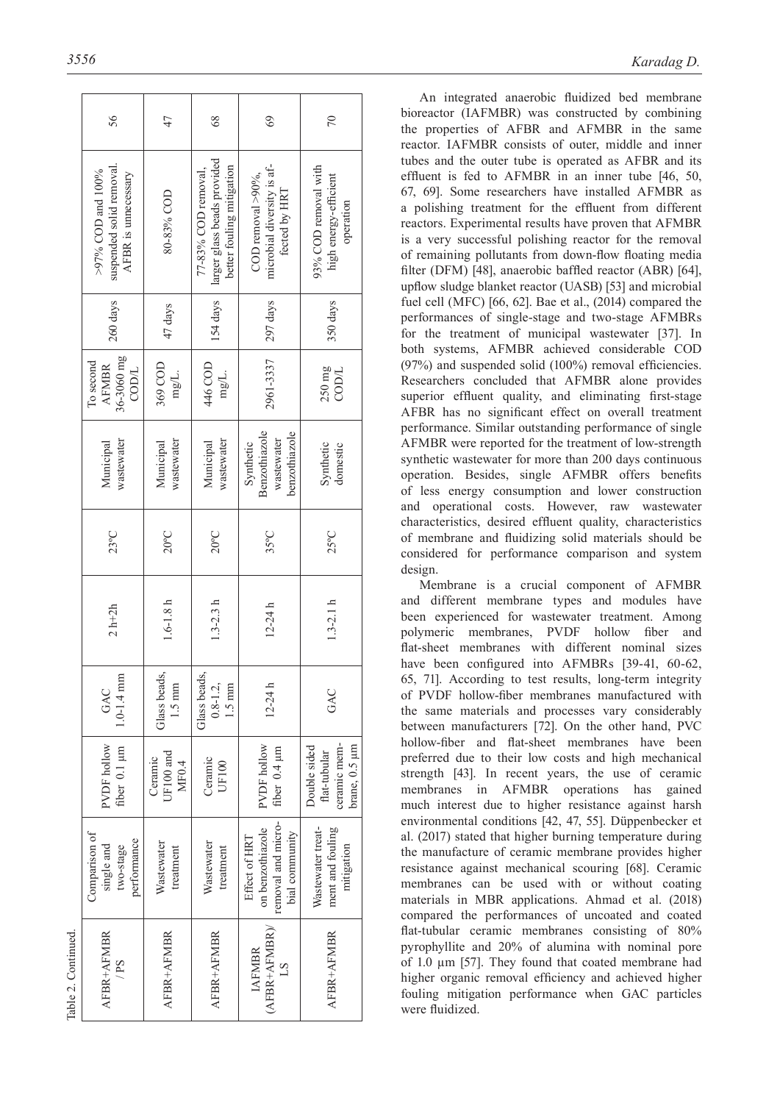|                     | 56                                                                   |                                  | $\frac{8}{3}$                                                                   | 69                                                                        | 70                                                                 |  |  |
|---------------------|----------------------------------------------------------------------|----------------------------------|---------------------------------------------------------------------------------|---------------------------------------------------------------------------|--------------------------------------------------------------------|--|--|
|                     | suspended solid removal.<br>>97% COD and 100%<br>AFBR is unnecessary | 80-83% COD                       | larger glass beads provided<br>better fouling mitigation<br>77-83% COD removal, | microbial diversity is af-<br>COD removal $>90\%$ ,<br>fected by HRT      | 93% COD removal with<br>high energy-efficient<br>operation         |  |  |
|                     | 260 days                                                             | 47 days                          | 154 days                                                                        | 297 days                                                                  | 350 days                                                           |  |  |
|                     | 36-3060 mg<br>To second<br><b>AFMBR</b><br>COD/L                     | 369 COD<br>mg/L.                 | 446 COD<br>mg/L.                                                                | 2961-3337                                                                 | $250 \text{ mg}$<br>COD/L                                          |  |  |
|                     | wastewater<br>Municipal                                              | wastewater<br>Municipal          | wastewater<br>Municipal                                                         | Benzothiazole<br>benzothiazole<br>wastewater<br>Synthetic                 | Synthetic<br>domestic                                              |  |  |
|                     | $23^{\circ}$ C                                                       | $20^{\circ}$ C                   | $20^{\circ}$ C                                                                  | 35°C                                                                      | $25^{\circ}$ C                                                     |  |  |
|                     | $2 h+2h$                                                             | $1.6 - 1.8h$                     | $1.3 - 2.3 h$                                                                   | $12 - 24h$                                                                | $1.3 - 2.1 h$                                                      |  |  |
|                     | $1.0 - 1.4$ mm<br>GAC                                                | Glass beads,<br>$1.5 \text{ mm}$ | Glass beads,<br>$0.8 - 1.2$ ,<br>$1.5 \text{ mm}$                               | $12 - 24h$                                                                | GAC                                                                |  |  |
|                     | <b>PVDF</b> hollow<br>fiber 0.1 µm                                   | UF100 and<br>Ceramic<br>MF0.4    | Cerannic<br>UF100                                                               | PVDF hollow<br>fiber 0.4 µm                                               | ceramic mem-<br>brane, $0.5 \mu m$<br>Double sided<br>flat-tubular |  |  |
|                     | Comparison of<br>performance<br>single and<br>two-stage              | Wastewater<br>treatment          | Wastewater<br>treatment                                                         | removal and micro-<br>on benzothiazole<br>bial community<br>Effect of HRT | Wastewater treat-<br>ment and fouling<br>mitigation                |  |  |
| Table 2. Continued. | AFBR+AFMBR<br>/PS                                                    | AFBR+AFMBR                       | AFBR+AFMBR                                                                      | $(AFBR+AFMBR)$<br><b>IAFMBR</b>                                           | AFBR+AFMBR                                                         |  |  |

An integrated anaerobic fluidized bed membrane bioreactor (IAFMBR) was constructed by combining the properties of AFBR and AFMBR in the same reactor. IAFMBR consists of outer, middle and inner tubes and the outer tube is operated as AFBR and its effluent is fed to AFMBR in an inner tube [46, 50, 67, 69]. Some researchers have installed AFMBR as a polishing treatment for the effluent from different reactors. Experimental results have proven that AFMBR is a very successful polishing reactor for the removal of remaining pollutants from down-flow floating media filter (DFM) [48], anaerobic baffled reactor (ABR) [64], upflow sludge blanket reactor (UASB) [53] and microbial fuel cell (MFC) [66, 62]. Bae et al., (2014) compared the performances of single-stage and two-stage AFMBRs for the treatment of municipal wastewater [37]. In both systems, AFMBR achieved considerable COD (97%) and suspended solid (100%) removal efficiencies. Researchers concluded that AFMBR alone provides superior effluent quality, and eliminating first-stage AFBR has no significant effect on overall treatment performance. Similar outstanding performance of single AFMBR were reported for the treatment of low-strength synthetic wastewater for more than 200 days continuous operation. Besides, single AFMBR offers benefits of less energy consumption and lower construction and operational costs. However, raw wastewater characteristics, desired effluent quality, characteristics of membrane and fluidizing solid materials should be considered for performance comparison and system design.

Membrane is a crucial component of AFMBR and different membrane types and modules have been experienced for wastewater treatment. Among polymeric membranes, PVDF hollow fiber and flat-sheet membranes with different nominal sizes have been configured into AFMBRs [39-41, 60-62, 65, 71]. According to test results, long-term integrity of PVDF hollow-fiber membranes manufactured with the same materials and processes vary considerably between manufacturers [72]. On the other hand, PVC hollow-fiber and flat-sheet membranes have been preferred due to their low costs and high mechanical strength [43]. In recent years, the use of ceramic membranes in AFMBR operations has gained much interest due to higher resistance against harsh environmental conditions [42, 47, 55]. Düppenbecker et al. (2017) stated that higher burning temperature during the manufacture of ceramic membrane provides higher resistance against mechanical scouring [68]. Ceramic membranes can be used with or without coating materials in MBR applications. Ahmad et al. (2018) compared the performances of uncoated and coated flat-tubular ceramic membranes consisting of 80% pyrophyllite and 20% of alumina with nominal pore of 1.0 µm [57]. They found that coated membrane had higher organic removal efficiency and achieved higher fouling mitigation performance when GAC particles were fluidized.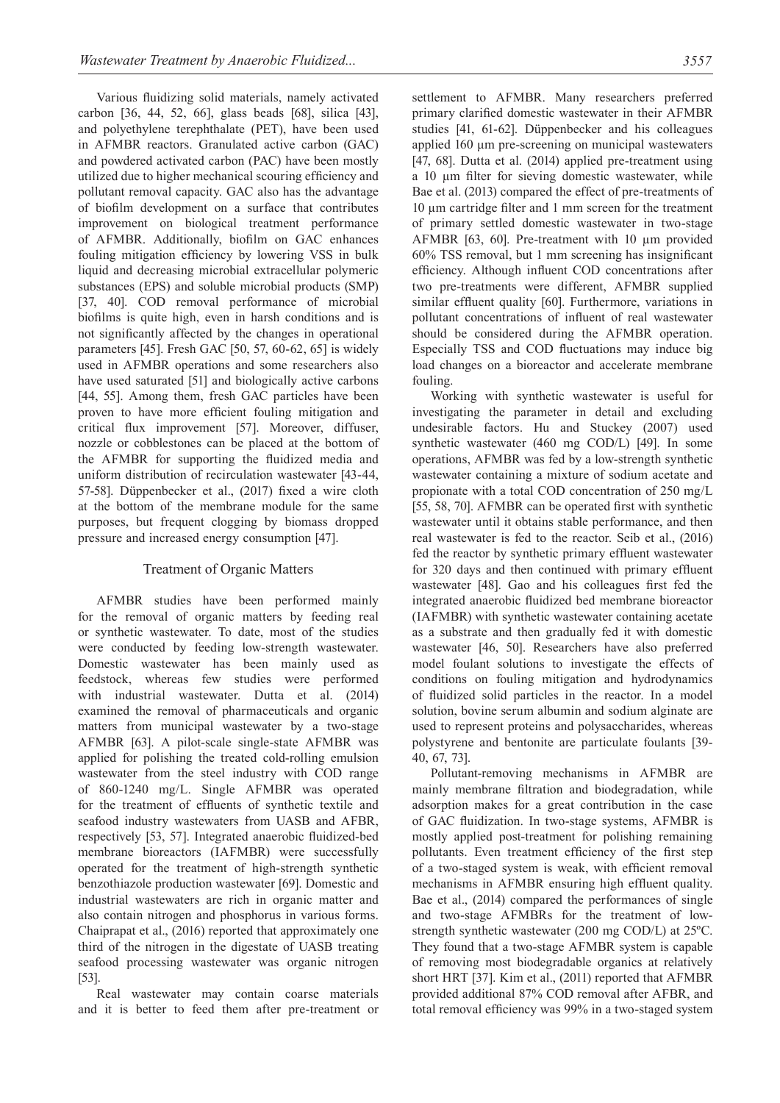Various fluidizing solid materials, namely activated carbon [36, 44, 52, 66], glass beads [68], silica [43], and polyethylene terephthalate (PET), have been used in AFMBR reactors. Granulated active carbon (GAC) and powdered activated carbon (PAC) have been mostly utilized due to higher mechanical scouring efficiency and pollutant removal capacity. GAC also has the advantage of biofilm development on a surface that contributes improvement on biological treatment performance of AFMBR. Additionally, biofilm on GAC enhances fouling mitigation efficiency by lowering VSS in bulk liquid and decreasing microbial extracellular polymeric substances (EPS) and soluble microbial products (SMP) [37, 40]. COD removal performance of microbial biofilms is quite high, even in harsh conditions and is not significantly affected by the changes in operational parameters [45]. Fresh GAC [50, 57, 60-62, 65] is widely used in AFMBR operations and some researchers also have used saturated [51] and biologically active carbons [44, 55]. Among them, fresh GAC particles have been proven to have more efficient fouling mitigation and critical flux improvement [57]. Moreover, diffuser, nozzle or cobblestones can be placed at the bottom of the AFMBR for supporting the fluidized media and uniform distribution of recirculation wastewater [43-44, 57-58]. Düppenbecker et al., (2017) fixed a wire cloth at the bottom of the membrane module for the same purposes, but frequent clogging by biomass dropped pressure and increased energy consumption [47].

#### Treatment of Organic Matters

AFMBR studies have been performed mainly for the removal of organic matters by feeding real or synthetic wastewater. To date, most of the studies were conducted by feeding low-strength wastewater. Domestic wastewater has been mainly used as feedstock, whereas few studies were performed with industrial wastewater. Dutta et al. (2014) examined the removal of pharmaceuticals and organic matters from municipal wastewater by a two-stage AFMBR [63]. A pilot-scale single-state AFMBR was applied for polishing the treated cold-rolling emulsion wastewater from the steel industry with COD range of 860-1240 mg/L. Single AFMBR was operated for the treatment of effluents of synthetic textile and seafood industry wastewaters from UASB and AFBR, respectively [53, 57]. Integrated anaerobic fluidized-bed membrane bioreactors (IAFMBR) were successfully operated for the treatment of high-strength synthetic benzothiazole production wastewater [69]. Domestic and industrial wastewaters are rich in organic matter and also contain nitrogen and phosphorus in various forms. Chaiprapat et al., (2016) reported that approximately one third of the nitrogen in the digestate of UASB treating seafood processing wastewater was organic nitrogen [53].

Real wastewater may contain coarse materials and it is better to feed them after pre-treatment or

settlement to AFMBR. Many researchers preferred primary clarified domestic wastewater in their AFMBR studies [41, 61-62]. Düppenbecker and his colleagues applied 160 μm pre-screening on municipal wastewaters [47, 68]. Dutta et al. (2014) applied pre-treatment using a 10 µm filter for sieving domestic wastewater, while Bae et al. (2013) compared the effect of pre-treatments of 10 µm cartridge filter and 1 mm screen for the treatment of primary settled domestic wastewater in two-stage AFMBR [63, 60]. Pre-treatment with 10 µm provided 60% TSS removal, but 1 mm screening has insignificant efficiency. Although influent COD concentrations after two pre-treatments were different, AFMBR supplied similar effluent quality [60]. Furthermore, variations in pollutant concentrations of influent of real wastewater should be considered during the AFMBR operation. Especially TSS and COD fluctuations may induce big load changes on a bioreactor and accelerate membrane fouling.

Working with synthetic wastewater is useful for investigating the parameter in detail and excluding undesirable factors. Hu and Stuckey (2007) used synthetic wastewater (460 mg COD/L) [49]. In some operations, AFMBR was fed by a low-strength synthetic wastewater containing a mixture of sodium acetate and propionate with a total COD concentration of 250 mg/L [55, 58, 70]. AFMBR can be operated first with synthetic wastewater until it obtains stable performance, and then real wastewater is fed to the reactor. Seib et al., (2016) fed the reactor by synthetic primary effluent wastewater for 320 days and then continued with primary effluent wastewater [48]. Gao and his colleagues first fed the integrated anaerobic fluidized bed membrane bioreactor (IAFMBR) with synthetic wastewater containing acetate as a substrate and then gradually fed it with domestic wastewater [46, 50]. Researchers have also preferred model foulant solutions to investigate the effects of conditions on fouling mitigation and hydrodynamics of fluidized solid particles in the reactor. In a model solution, bovine serum albumin and sodium alginate are used to represent proteins and polysaccharides, whereas polystyrene and bentonite are particulate foulants [39- 40, 67, 73].

Pollutant-removing mechanisms in AFMBR are mainly membrane filtration and biodegradation, while adsorption makes for a great contribution in the case of GAC fluidization. In two-stage systems, AFMBR is mostly applied post-treatment for polishing remaining pollutants. Even treatment efficiency of the first step of a two-staged system is weak, with efficient removal mechanisms in AFMBR ensuring high effluent quality. Bae et al., (2014) compared the performances of single and two-stage AFMBRs for the treatment of lowstrength synthetic wastewater (200 mg COD/L) at 25ºC. They found that a two-stage AFMBR system is capable of removing most biodegradable organics at relatively short HRT [37]. Kim et al., (2011) reported that AFMBR provided additional 87% COD removal after AFBR, and total removal efficiency was 99% in a two-staged system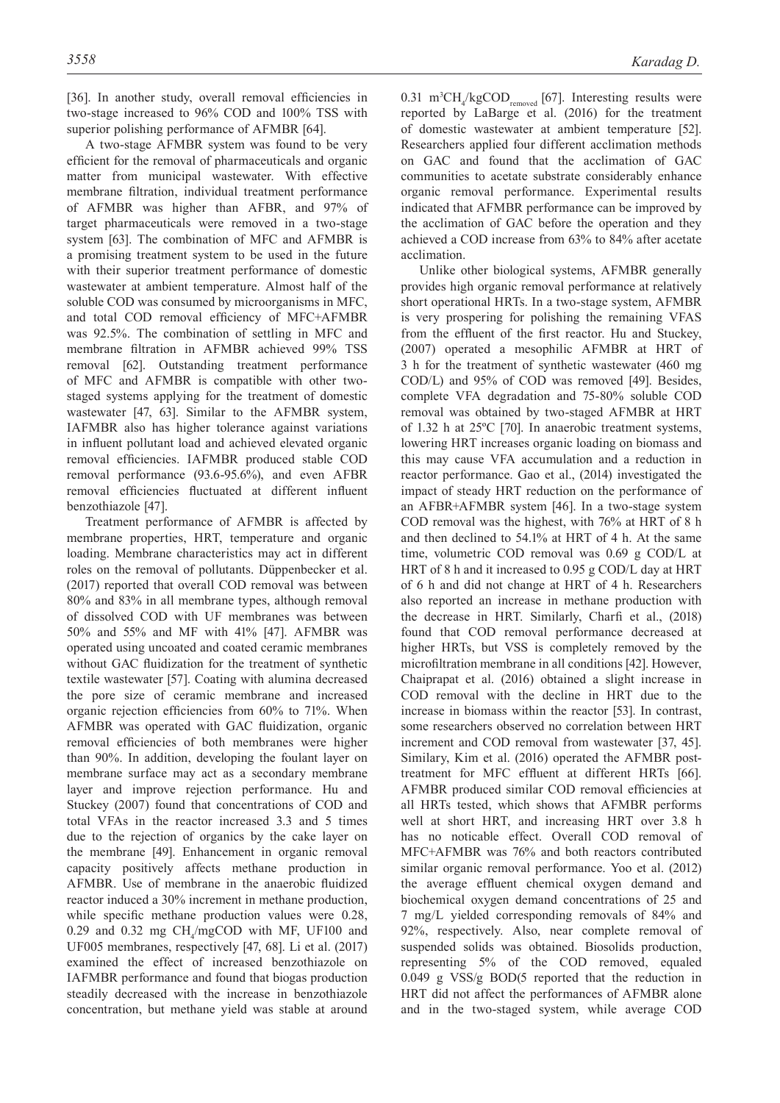[36]. In another study, overall removal efficiencies in two-stage increased to 96% COD and 100% TSS with superior polishing performance of AFMBR [64].

A two-stage AFMBR system was found to be very efficient for the removal of pharmaceuticals and organic matter from municipal wastewater. With effective membrane filtration, individual treatment performance of AFMBR was higher than AFBR, and 97% of target pharmaceuticals were removed in a two-stage system [63]. The combination of MFC and AFMBR is a promising treatment system to be used in the future with their superior treatment performance of domestic wastewater at ambient temperature. Almost half of the soluble COD was consumed by microorganisms in MFC, and total COD removal efficiency of MFC+AFMBR was 92.5%. The combination of settling in MFC and membrane filtration in AFMBR achieved 99% TSS removal [62]. Outstanding treatment performance of MFC and AFMBR is compatible with other twostaged systems applying for the treatment of domestic wastewater [47, 63]. Similar to the AFMBR system, IAFMBR also has higher tolerance against variations in influent pollutant load and achieved elevated organic removal efficiencies. IAFMBR produced stable COD removal performance (93.6-95.6%), and even AFBR removal efficiencies fluctuated at different influent benzothiazole [47].

Treatment performance of AFMBR is affected by membrane properties, HRT, temperature and organic loading. Membrane characteristics may act in different roles on the removal of pollutants. Düppenbecker et al. (2017) reported that overall COD removal was between 80% and 83% in all membrane types, although removal of dissolved COD with UF membranes was between 50% and 55% and MF with 41% [47]. AFMBR was operated using uncoated and coated ceramic membranes without GAC fluidization for the treatment of synthetic textile wastewater [57]. Coating with alumina decreased the pore size of ceramic membrane and increased organic rejection efficiencies from 60% to 71%. When AFMBR was operated with GAC fluidization, organic removal efficiencies of both membranes were higher than 90%. In addition, developing the foulant layer on membrane surface may act as a secondary membrane layer and improve rejection performance. Hu and Stuckey (2007) found that concentrations of COD and total VFAs in the reactor increased 3.3 and 5 times due to the rejection of organics by the cake layer on the membrane [49]. Enhancement in organic removal capacity positively affects methane production in AFMBR. Use of membrane in the anaerobic fluidized reactor induced a 30% increment in methane production, while specific methane production values were 0.28, 0.29 and 0.32 mg  $CH<sub>4</sub>/mgCOD$  with MF, UF100 and UF005 membranes, respectively [47, 68]. Li et al. (2017) examined the effect of increased benzothiazole on IAFMBR performance and found that biogas production steadily decreased with the increase in benzothiazole concentration, but methane yield was stable at around

0.31 m<sup>3</sup>CH<sub>4</sub>/kgCOD<sub>removed</sub> [67]. Interesting results were reported by LaBarge et al. (2016) for the treatment of domestic wastewater at ambient temperature [52]. Researchers applied four different acclimation methods on GAC and found that the acclimation of GAC communities to acetate substrate considerably enhance organic removal performance. Experimental results indicated that AFMBR performance can be improved by the acclimation of GAC before the operation and they achieved a COD increase from 63% to 84% after acetate acclimation.

Unlike other biological systems, AFMBR generally provides high organic removal performance at relatively short operational HRTs. In a two-stage system, AFMBR is very prospering for polishing the remaining VFAS from the effluent of the first reactor. Hu and Stuckey, (2007) operated a mesophilic AFMBR at HRT of 3 h for the treatment of synthetic wastewater (460 mg COD/L) and 95% of COD was removed [49]. Besides, complete VFA degradation and 75-80% soluble COD removal was obtained by two-staged AFMBR at HRT of 1.32 h at 25ºC [70]. In anaerobic treatment systems, lowering HRT increases organic loading on biomass and this may cause VFA accumulation and a reduction in reactor performance. Gao et al., (2014) investigated the impact of steady HRT reduction on the performance of an AFBR+AFMBR system [46]. In a two-stage system COD removal was the highest, with 76% at HRT of 8 h and then declined to 54.1% at HRT of 4 h. At the same time, volumetric COD removal was 0.69 g COD/L at HRT of 8 h and it increased to 0.95 g COD/L day at HRT of 6 h and did not change at HRT of 4 h. Researchers also reported an increase in methane production with the decrease in HRT. Similarly, Charfi et al., (2018) found that COD removal performance decreased at higher HRTs, but VSS is completely removed by the microfiltration membrane in all conditions [42]. However, Chaiprapat et al. (2016) obtained a slight increase in COD removal with the decline in HRT due to the increase in biomass within the reactor [53]. In contrast, some researchers observed no correlation between HRT increment and COD removal from wastewater [37, 45]. Similary, Kim et al. (2016) operated the AFMBR posttreatment for MFC effluent at different HRTs [66]. AFMBR produced similar COD removal efficiencies at all HRTs tested, which shows that AFMBR performs well at short HRT, and increasing HRT over 3.8 h has no noticable effect. Overall COD removal of MFC+AFMBR was 76% and both reactors contributed similar organic removal performance. Yoo et al. (2012) the average effluent chemical oxygen demand and biochemical oxygen demand concentrations of 25 and 7 mg/L yielded corresponding removals of 84% and 92%, respectively. Also, near complete removal of suspended solids was obtained. Biosolids production, representing 5% of the COD removed, equaled 0.049 g VSS/g BOD(5 reported that the reduction in HRT did not affect the performances of AFMBR alone and in the two-staged system, while average COD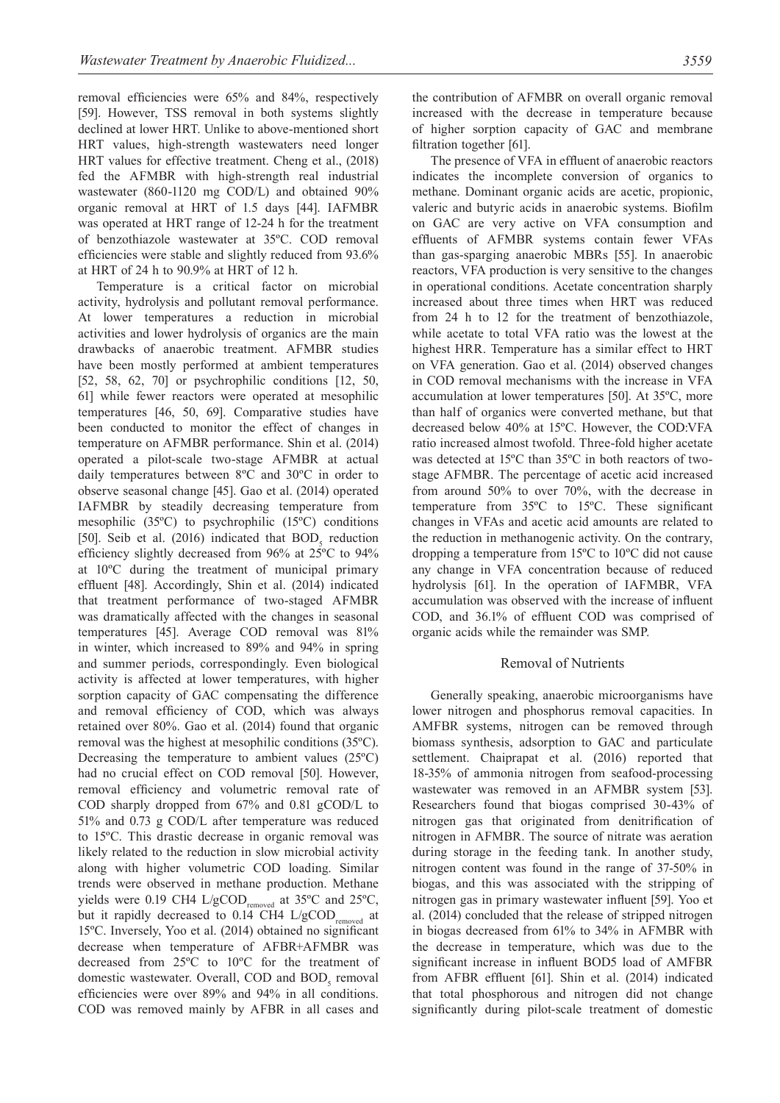removal efficiencies were 65% and 84%, respectively [59]. However, TSS removal in both systems slightly declined at lower HRT. Unlike to above-mentioned short HRT values, high-strength wastewaters need longer HRT values for effective treatment. Cheng et al., (2018) fed the AFMBR with high-strength real industrial wastewater (860-1120 mg COD/L) and obtained 90% organic removal at HRT of 1.5 days [44]. IAFMBR was operated at HRT range of 12-24 h for the treatment of benzothiazole wastewater at 35ºC. COD removal efficiencies were stable and slightly reduced from 93.6% at HRT of 24 h to 90.9% at HRT of 12 h.

Temperature is a critical factor on microbial activity, hydrolysis and pollutant removal performance. At lower temperatures a reduction in microbial activities and lower hydrolysis of organics are the main drawbacks of anaerobic treatment. AFMBR studies have been mostly performed at ambient temperatures [52, 58, 62, 70] or psychrophilic conditions [12, 50, 61] while fewer reactors were operated at mesophilic temperatures [46, 50, 69]. Comparative studies have been conducted to monitor the effect of changes in temperature on AFMBR performance. Shin et al. (2014) operated a pilot-scale two-stage AFMBR at actual daily temperatures between 8ºC and 30ºC in order to observe seasonal change [45]. Gao et al. (2014) operated IAFMBR by steadily decreasing temperature from mesophilic (35ºC) to psychrophilic (15ºC) conditions [50]. Seib et al. (2016) indicated that  $BOD<sub>5</sub>$  reduction efficiency slightly decreased from 96% at 25ºC to 94% at 10ºC during the treatment of municipal primary effluent [48]. Accordingly, Shin et al. (2014) indicated that treatment performance of two-staged AFMBR was dramatically affected with the changes in seasonal temperatures [45]. Average COD removal was 81% in winter, which increased to 89% and 94% in spring and summer periods, correspondingly. Even biological activity is affected at lower temperatures, with higher sorption capacity of GAC compensating the difference and removal efficiency of COD, which was always retained over 80%. Gao et al. (2014) found that organic removal was the highest at mesophilic conditions (35ºC). Decreasing the temperature to ambient values (25ºC) had no crucial effect on COD removal [50]. However, removal efficiency and volumetric removal rate of COD sharply dropped from 67% and 0.81 gCOD/L to 51% and 0.73 g COD/L after temperature was reduced to 15ºC. This drastic decrease in organic removal was likely related to the reduction in slow microbial activity along with higher volumetric COD loading. Similar trends were observed in methane production. Methane yields were 0.19 CH4 L/gCOD<sub>removed</sub> at 35°C and 25°C, but it rapidly decreased to  $0.14$  CH4 L/gCOD<sub>removed</sub> at 15ºC. Inversely, Yoo et al. (2014) obtained no significant decrease when temperature of AFBR+AFMBR was decreased from 25ºC to 10ºC for the treatment of domestic wastewater. Overall, COD and  $BOD<sub>5</sub>$  removal efficiencies were over 89% and 94% in all conditions. COD was removed mainly by AFBR in all cases and

the contribution of AFMBR on overall organic removal increased with the decrease in temperature because of higher sorption capacity of GAC and membrane filtration together [61].

The presence of VFA in effluent of anaerobic reactors indicates the incomplete conversion of organics to methane. Dominant organic acids are acetic, propionic, valeric and butyric acids in anaerobic systems. Biofilm on GAC are very active on VFA consumption and effluents of AFMBR systems contain fewer VFAs than gas-sparging anaerobic MBRs [55]. In anaerobic reactors, VFA production is very sensitive to the changes in operational conditions. Acetate concentration sharply increased about three times when HRT was reduced from 24 h to 12 for the treatment of benzothiazole, while acetate to total VFA ratio was the lowest at the highest HRR. Temperature has a similar effect to HRT on VFA generation. Gao et al. (2014) observed changes in COD removal mechanisms with the increase in VFA accumulation at lower temperatures [50]. At 35ºC, more than half of organics were converted methane, but that decreased below 40% at 15ºC. However, the COD:VFA ratio increased almost twofold. Three-fold higher acetate was detected at 15ºC than 35ºC in both reactors of twostage AFMBR. The percentage of acetic acid increased from around 50% to over 70%, with the decrease in temperature from 35ºC to 15ºC. These significant changes in VFAs and acetic acid amounts are related to the reduction in methanogenic activity. On the contrary, dropping a temperature from 15ºC to 10ºC did not cause any change in VFA concentration because of reduced hydrolysis [61]. In the operation of IAFMBR, VFA accumulation was observed with the increase of influent COD, and 36.1% of effluent COD was comprised of organic acids while the remainder was SMP.

#### Removal of Nutrients

Generally speaking, anaerobic microorganisms have lower nitrogen and phosphorus removal capacities. In AMFBR systems, nitrogen can be removed through biomass synthesis, adsorption to GAC and particulate settlement. Chaiprapat et al. (2016) reported that 18-35% of ammonia nitrogen from seafood-processing wastewater was removed in an AFMBR system [53]. Researchers found that biogas comprised 30-43% of nitrogen gas that originated from denitrification of nitrogen in AFMBR. The source of nitrate was aeration during storage in the feeding tank. In another study, nitrogen content was found in the range of 37-50% in biogas, and this was associated with the stripping of nitrogen gas in primary wastewater influent [59]. Yoo et al. (2014) concluded that the release of stripped nitrogen in biogas decreased from 61% to 34% in AFMBR with the decrease in temperature, which was due to the significant increase in influent BOD5 load of AMFBR from AFBR effluent [61]. Shin et al. (2014) indicated that total phosphorous and nitrogen did not change significantly during pilot-scale treatment of domestic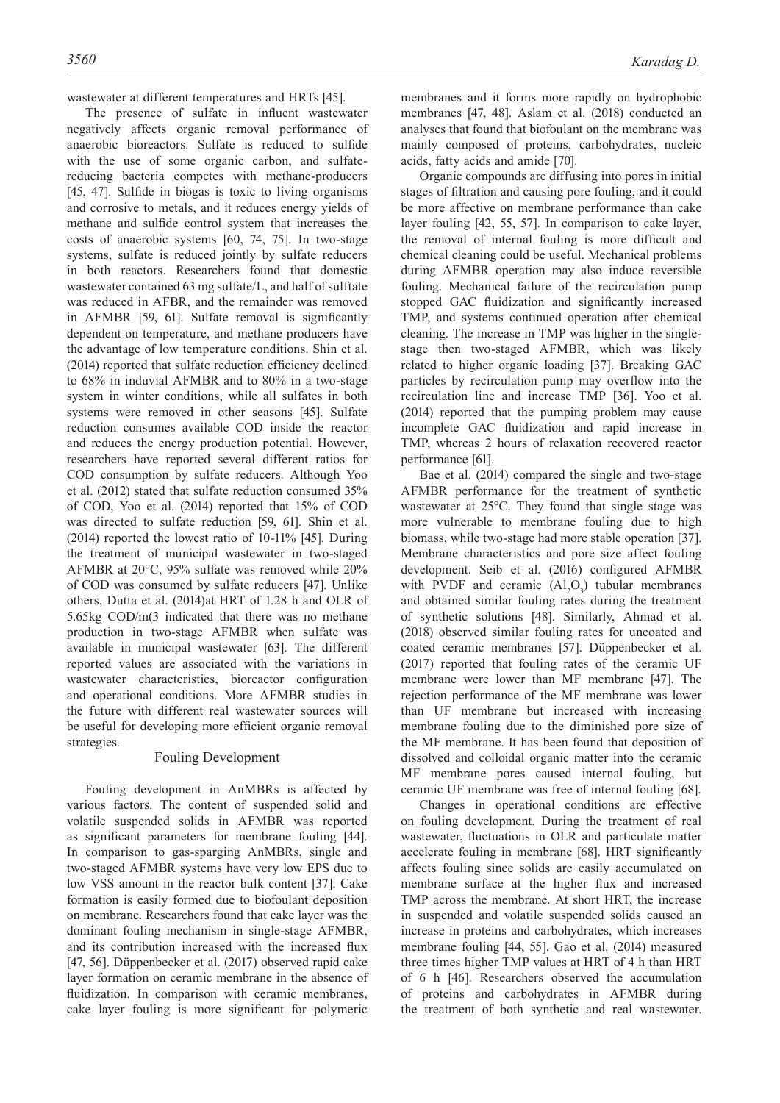wastewater at different temperatures and HRTs [45].

The presence of sulfate in influent wastewater negatively affects organic removal performance of anaerobic bioreactors. Sulfate is reduced to sulfide with the use of some organic carbon, and sulfatereducing bacteria competes with methane-producers [45, 47]. Sulfide in biogas is toxic to living organisms and corrosive to metals, and it reduces energy yields of methane and sulfide control system that increases the costs of anaerobic systems [60, 74, 75]. In two-stage systems, sulfate is reduced jointly by sulfate reducers in both reactors. Researchers found that domestic wastewater contained 63 mg sulfate/L, and half of sulftate was reduced in AFBR, and the remainder was removed in AFMBR [59, 61]. Sulfate removal is significantly dependent on temperature, and methane producers have the advantage of low temperature conditions. Shin et al. (2014) reported that sulfate reduction efficiency declined to 68% in induvial AFMBR and to 80% in a two-stage system in winter conditions, while all sulfates in both systems were removed in other seasons [45]. Sulfate reduction consumes available COD inside the reactor and reduces the energy production potential. However, researchers have reported several different ratios for COD consumption by sulfate reducers. Although Yoo et al. (2012) stated that sulfate reduction consumed 35% of COD, Yoo et al. (2014) reported that 15% of COD was directed to sulfate reduction [59, 61]. Shin et al. (2014) reported the lowest ratio of 10-11% [45]. During the treatment of municipal wastewater in two-staged AFMBR at 20°C, 95% sulfate was removed while 20% of COD was consumed by sulfate reducers [47]. Unlike others, Dutta et al. (2014)at HRT of 1.28 h and OLR of 5.65kg COD/m(3 indicated that there was no methane production in two-stage AFMBR when sulfate was available in municipal wastewater [63]. The different reported values are associated with the variations in wastewater characteristics, bioreactor configuration and operational conditions. More AFMBR studies in the future with different real wastewater sources will be useful for developing more efficient organic removal strategies.

#### Fouling Development

Fouling development in AnMBRs is affected by various factors. The content of suspended solid and volatile suspended solids in AFMBR was reported as significant parameters for membrane fouling [44]. In comparison to gas-sparging AnMBRs, single and two-staged AFMBR systems have very low EPS due to low VSS amount in the reactor bulk content [37]. Cake formation is easily formed due to biofoulant deposition on membrane. Researchers found that cake layer was the dominant fouling mechanism in single-stage AFMBR, and its contribution increased with the increased flux [47, 56]. Düppenbecker et al. (2017) observed rapid cake layer formation on ceramic membrane in the absence of fluidization. In comparison with ceramic membranes, cake layer fouling is more significant for polymeric

membranes and it forms more rapidly on hydrophobic membranes [47, 48]. Aslam et al. (2018) conducted an analyses that found that biofoulant on the membrane was mainly composed of proteins, carbohydrates, nucleic acids, fatty acids and amide [70].

Organic compounds are diffusing into pores in initial stages of filtration and causing pore fouling, and it could be more affective on membrane performance than cake layer fouling [42, 55, 57]. In comparison to cake layer, the removal of internal fouling is more difficult and chemical cleaning could be useful. Mechanical problems during AFMBR operation may also induce reversible fouling. Mechanical failure of the recirculation pump stopped GAC fluidization and significantly increased TMP, and systems continued operation after chemical cleaning. The increase in TMP was higher in the singlestage then two-staged AFMBR, which was likely related to higher organic loading [37]. Breaking GAC particles by recirculation pump may overflow into the recirculation line and increase TMP [36]. Yoo et al. (2014) reported that the pumping problem may cause incomplete GAC fluidization and rapid increase in TMP, whereas 2 hours of relaxation recovered reactor performance [61].

Bae et al. (2014) compared the single and two-stage AFMBR performance for the treatment of synthetic wastewater at 25°C. They found that single stage was more vulnerable to membrane fouling due to high biomass, while two-stage had more stable operation [37]. Membrane characteristics and pore size affect fouling development. Seib et al. (2016) configured AFMBR with PVDF and ceramic  $(A_1^1O_3)$  tubular membranes and obtained similar fouling rates during the treatment of synthetic solutions [48]. Similarly, Ahmad et al. (2018) observed similar fouling rates for uncoated and coated ceramic membranes [57]. Düppenbecker et al. (2017) reported that fouling rates of the ceramic UF membrane were lower than MF membrane [47]. The rejection performance of the MF membrane was lower than UF membrane but increased with increasing membrane fouling due to the diminished pore size of the MF membrane. It has been found that deposition of dissolved and colloidal organic matter into the ceramic MF membrane pores caused internal fouling, but ceramic UF membrane was free of internal fouling [68].

Changes in operational conditions are effective on fouling development. During the treatment of real wastewater, fluctuations in OLR and particulate matter accelerate fouling in membrane [68]. HRT significantly affects fouling since solids are easily accumulated on membrane surface at the higher flux and increased TMP across the membrane. At short HRT, the increase in suspended and volatile suspended solids caused an increase in proteins and carbohydrates, which increases membrane fouling [44, 55]. Gao et al. (2014) measured three times higher TMP values at HRT of 4 h than HRT of 6 h [46]. Researchers observed the accumulation of proteins and carbohydrates in AFMBR during the treatment of both synthetic and real wastewater.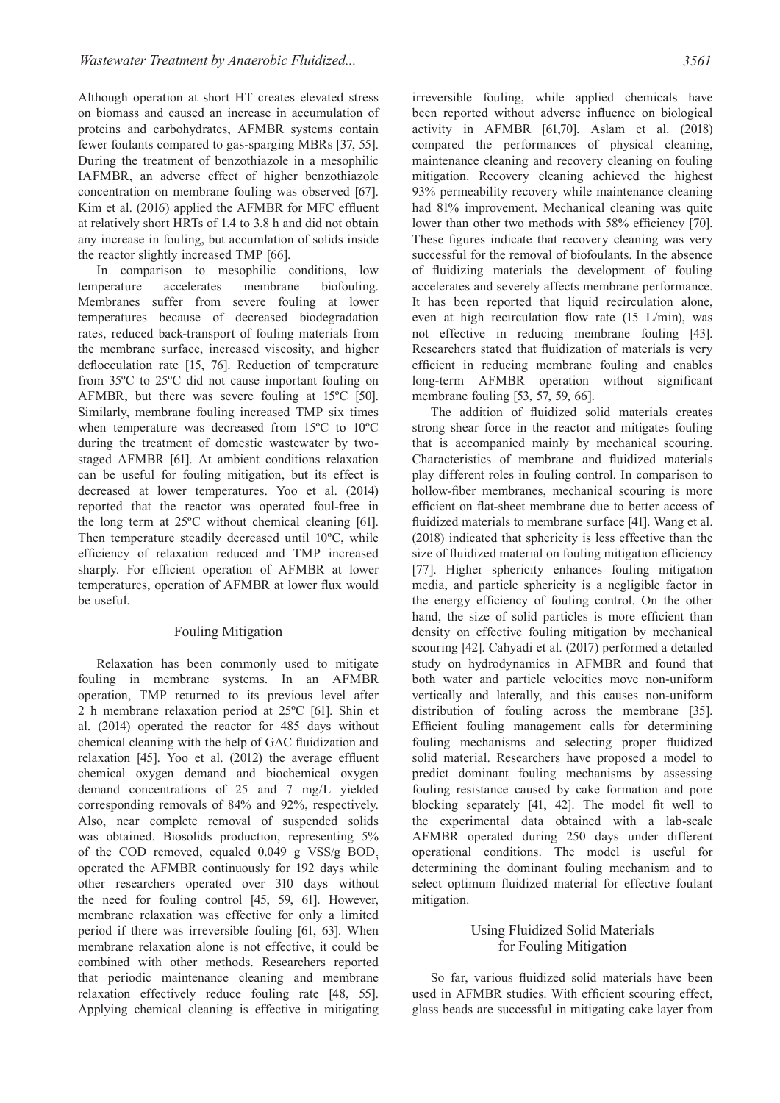Although operation at short HT creates elevated stress on biomass and caused an increase in accumulation of proteins and carbohydrates, AFMBR systems contain fewer foulants compared to gas-sparging MBRs [37, 55]. During the treatment of benzothiazole in a mesophilic IAFMBR, an adverse effect of higher benzothiazole concentration on membrane fouling was observed [67]. Kim et al. (2016) applied the AFMBR for MFC effluent at relatively short HRTs of 1.4 to 3.8 h and did not obtain any increase in fouling, but accumlation of solids inside the reactor slightly increased TMP [66].

In comparison to mesophilic conditions, low temperature accelerates membrane biofouling. Membranes suffer from severe fouling at lower temperatures because of decreased biodegradation rates, reduced back-transport of fouling materials from the membrane surface, increased viscosity, and higher deflocculation rate [15, 76]. Reduction of temperature from 35ºC to 25ºC did not cause important fouling on AFMBR, but there was severe fouling at 15ºC [50]. Similarly, membrane fouling increased TMP six times when temperature was decreased from 15ºC to 10ºC during the treatment of domestic wastewater by twostaged AFMBR [61]. At ambient conditions relaxation can be useful for fouling mitigation, but its effect is decreased at lower temperatures. Yoo et al. (2014) reported that the reactor was operated foul-free in the long term at 25ºC without chemical cleaning [61]. Then temperature steadily decreased until 10ºC, while efficiency of relaxation reduced and TMP increased sharply. For efficient operation of AFMBR at lower temperatures, operation of AFMBR at lower flux would be useful.

# Fouling Mitigation

Relaxation has been commonly used to mitigate fouling in membrane systems. In an AFMBR operation, TMP returned to its previous level after 2 h membrane relaxation period at 25ºC [61]. Shin et al. (2014) operated the reactor for 485 days without chemical cleaning with the help of GAC fluidization and relaxation [45]. Yoo et al. (2012) the average effluent chemical oxygen demand and biochemical oxygen demand concentrations of 25 and 7 mg/L yielded corresponding removals of 84% and 92%, respectively. Also, near complete removal of suspended solids was obtained. Biosolids production, representing 5% of the COD removed, equaled  $0.049$  g VSS/g BOD<sub>5</sub> operated the AFMBR continuously for 192 days while other researchers operated over 310 days without the need for fouling control [45, 59, 61]. However, membrane relaxation was effective for only a limited period if there was irreversible fouling [61, 63]. When membrane relaxation alone is not effective, it could be combined with other methods. Researchers reported that periodic maintenance cleaning and membrane relaxation effectively reduce fouling rate [48, 55]. Applying chemical cleaning is effective in mitigating irreversible fouling, while applied chemicals have been reported without adverse influence on biological activity in AFMBR [61,70]. Aslam et al. (2018) compared the performances of physical cleaning, maintenance cleaning and recovery cleaning on fouling mitigation. Recovery cleaning achieved the highest 93% permeability recovery while maintenance cleaning had 81% improvement. Mechanical cleaning was quite lower than other two methods with 58% efficiency [70]. These figures indicate that recovery cleaning was very successful for the removal of biofoulants. In the absence of fluidizing materials the development of fouling accelerates and severely affects membrane performance. It has been reported that liquid recirculation alone, even at high recirculation flow rate (15 L/min), was not effective in reducing membrane fouling [43]. Researchers stated that fluidization of materials is very efficient in reducing membrane fouling and enables long-term AFMBR operation without significant membrane fouling [53, 57, 59, 66].

The addition of fluidized solid materials creates strong shear force in the reactor and mitigates fouling that is accompanied mainly by mechanical scouring. Characteristics of membrane and fluidized materials play different roles in fouling control. In comparison to hollow-fiber membranes, mechanical scouring is more efficient on flat-sheet membrane due to better access of fluidized materials to membrane surface [41]. Wang et al. (2018) indicated that sphericity is less effective than the size of fluidized material on fouling mitigation efficiency [77]. Higher sphericity enhances fouling mitigation media, and particle sphericity is a negligible factor in the energy efficiency of fouling control. On the other hand, the size of solid particles is more efficient than density on effective fouling mitigation by mechanical scouring [42]. Cahyadi et al. (2017) performed a detailed study on hydrodynamics in AFMBR and found that both water and particle velocities move non-uniform vertically and laterally, and this causes non-uniform distribution of fouling across the membrane [35]. Efficient fouling management calls for determining fouling mechanisms and selecting proper fluidized solid material. Researchers have proposed a model to predict dominant fouling mechanisms by assessing fouling resistance caused by cake formation and pore blocking separately [41, 42]. The model fit well to the experimental data obtained with a lab-scale AFMBR operated during 250 days under different operational conditions. The model is useful for determining the dominant fouling mechanism and to select optimum fluidized material for effective foulant mitigation.

# Using Fluidized Solid Materials for Fouling Mitigation

So far, various fluidized solid materials have been used in AFMBR studies. With efficient scouring effect, glass beads are successful in mitigating cake layer from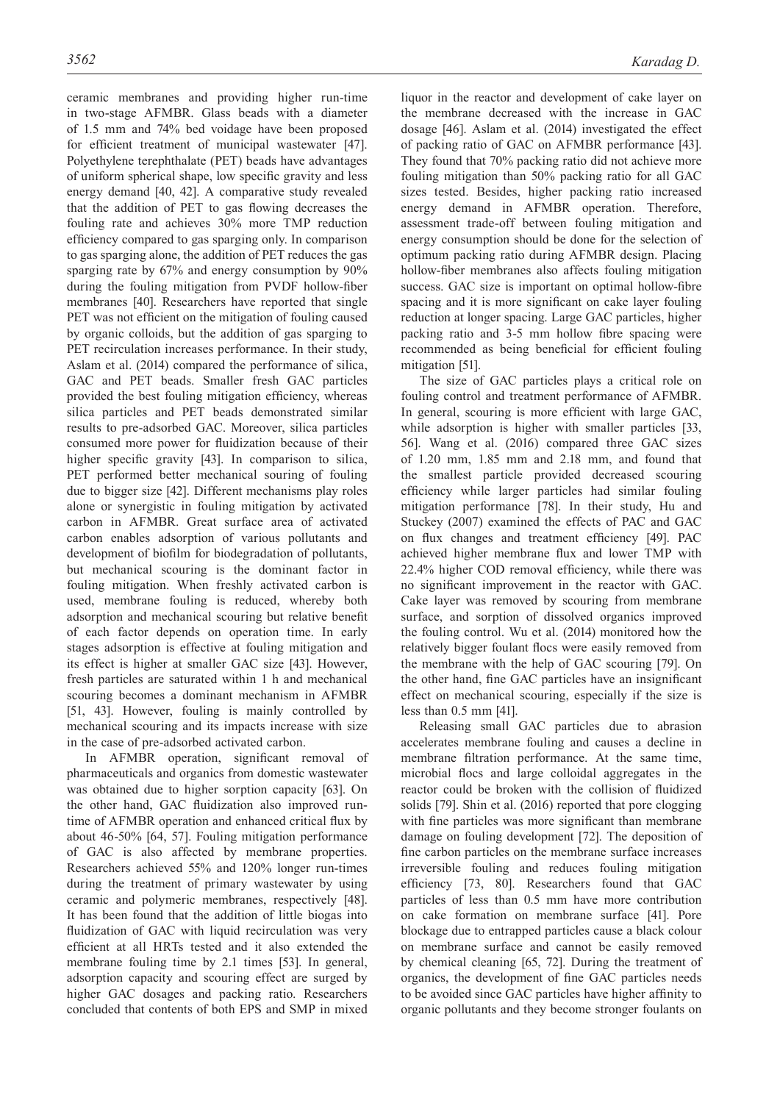ceramic membranes and providing higher run-time in two-stage AFMBR. Glass beads with a diameter of 1.5 mm and 74% bed voidage have been proposed for efficient treatment of municipal wastewater [47]. Polyethylene terephthalate (PET) beads have advantages of uniform spherical shape, low specific gravity and less energy demand [40, 42]. A comparative study revealed that the addition of PET to gas flowing decreases the fouling rate and achieves 30% more TMP reduction efficiency compared to gas sparging only. In comparison to gas sparging alone, the addition of PET reduces the gas sparging rate by 67% and energy consumption by 90% during the fouling mitigation from PVDF hollow-fiber membranes [40]. Researchers have reported that single PET was not efficient on the mitigation of fouling caused by organic colloids, but the addition of gas sparging to PET recirculation increases performance. In their study, Aslam et al. (2014) compared the performance of silica, GAC and PET beads. Smaller fresh GAC particles provided the best fouling mitigation efficiency, whereas silica particles and PET beads demonstrated similar results to pre-adsorbed GAC. Moreover, silica particles consumed more power for fluidization because of their higher specific gravity [43]. In comparison to silica, PET performed better mechanical souring of fouling due to bigger size [42]. Different mechanisms play roles alone or synergistic in fouling mitigation by activated carbon in AFMBR. Great surface area of activated carbon enables adsorption of various pollutants and development of biofilm for biodegradation of pollutants, but mechanical scouring is the dominant factor in fouling mitigation. When freshly activated carbon is used, membrane fouling is reduced, whereby both adsorption and mechanical scouring but relative benefit of each factor depends on operation time. In early stages adsorption is effective at fouling mitigation and its effect is higher at smaller GAC size [43]. However, fresh particles are saturated within 1 h and mechanical scouring becomes a dominant mechanism in AFMBR [51, 43]. However, fouling is mainly controlled by mechanical scouring and its impacts increase with size in the case of pre-adsorbed activated carbon.

In AFMBR operation, significant removal of pharmaceuticals and organics from domestic wastewater was obtained due to higher sorption capacity [63]. On the other hand, GAC fluidization also improved runtime of AFMBR operation and enhanced critical flux by about 46-50% [64, 57]. Fouling mitigation performance of GAC is also affected by membrane properties. Researchers achieved 55% and 120% longer run-times during the treatment of primary wastewater by using ceramic and polymeric membranes, respectively [48]. It has been found that the addition of little biogas into fluidization of GAC with liquid recirculation was very efficient at all HRTs tested and it also extended the membrane fouling time by 2.1 times [53]. In general, adsorption capacity and scouring effect are surged by higher GAC dosages and packing ratio. Researchers concluded that contents of both EPS and SMP in mixed

liquor in the reactor and development of cake layer on the membrane decreased with the increase in GAC dosage [46]. Aslam et al. (2014) investigated the effect of packing ratio of GAC on AFMBR performance [43]. They found that 70% packing ratio did not achieve more fouling mitigation than 50% packing ratio for all GAC sizes tested. Besides, higher packing ratio increased energy demand in AFMBR operation. Therefore, assessment trade-off between fouling mitigation and energy consumption should be done for the selection of optimum packing ratio during AFMBR design. Placing hollow-fiber membranes also affects fouling mitigation success. GAC size is important on optimal hollow-fibre spacing and it is more significant on cake layer fouling reduction at longer spacing. Large GAC particles, higher packing ratio and 3-5 mm hollow fibre spacing were recommended as being beneficial for efficient fouling mitigation [51].

The size of GAC particles plays a critical role on fouling control and treatment performance of AFMBR. In general, scouring is more efficient with large GAC, while adsorption is higher with smaller particles [33, 56]. Wang et al. (2016) compared three GAC sizes of 1.20 mm, 1.85 mm and 2.18 mm, and found that the smallest particle provided decreased scouring efficiency while larger particles had similar fouling mitigation performance [78]. In their study, Hu and Stuckey (2007) examined the effects of PAC and GAC on flux changes and treatment efficiency [49]. PAC achieved higher membrane flux and lower TMP with 22.4% higher COD removal efficiency, while there was no significant improvement in the reactor with GAC. Cake layer was removed by scouring from membrane surface, and sorption of dissolved organics improved the fouling control. Wu et al. (2014) monitored how the relatively bigger foulant flocs were easily removed from the membrane with the help of GAC scouring [79]. On the other hand, fine GAC particles have an insignificant effect on mechanical scouring, especially if the size is less than 0.5 mm [41].

Releasing small GAC particles due to abrasion accelerates membrane fouling and causes a decline in membrane filtration performance. At the same time, microbial flocs and large colloidal aggregates in the reactor could be broken with the collision of fluidized solids [79]. Shin et al. (2016) reported that pore clogging with fine particles was more significant than membrane damage on fouling development [72]. The deposition of fine carbon particles on the membrane surface increases irreversible fouling and reduces fouling mitigation efficiency [73, 80]. Researchers found that GAC particles of less than 0.5 mm have more contribution on cake formation on membrane surface [41]. Pore blockage due to entrapped particles cause a black colour on membrane surface and cannot be easily removed by chemical cleaning [65, 72]. During the treatment of organics, the development of fine GAC particles needs to be avoided since GAC particles have higher affinity to organic pollutants and they become stronger foulants on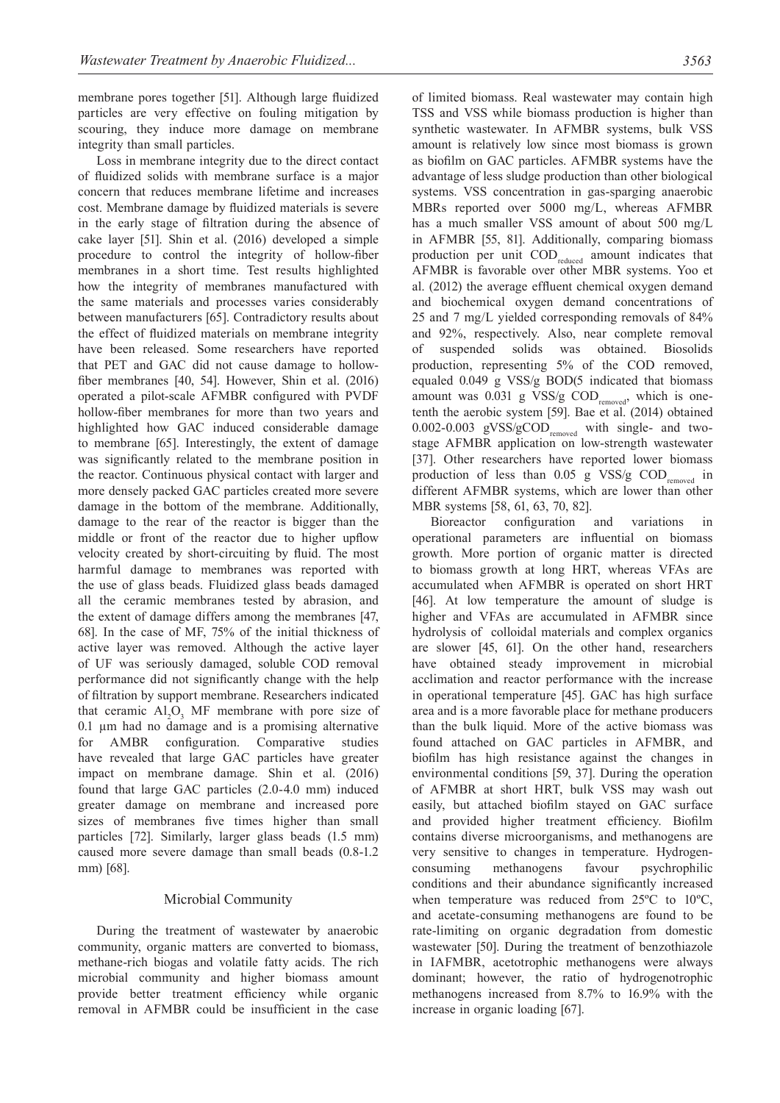membrane pores together [51]. Although large fluidized particles are very effective on fouling mitigation by scouring, they induce more damage on membrane integrity than small particles.

Loss in membrane integrity due to the direct contact of fluidized solids with membrane surface is a major concern that reduces membrane lifetime and increases cost. Membrane damage by fluidized materials is severe in the early stage of filtration during the absence of cake layer [51]. Shin et al. (2016) developed a simple procedure to control the integrity of hollow-fiber membranes in a short time. Test results highlighted how the integrity of membranes manufactured with the same materials and processes varies considerably between manufacturers [65]. Contradictory results about the effect of fluidized materials on membrane integrity have been released. Some researchers have reported that PET and GAC did not cause damage to hollowfiber membranes [40, 54]. However, Shin et al. (2016) operated a pilot-scale AFMBR configured with PVDF hollow-fiber membranes for more than two years and highlighted how GAC induced considerable damage to membrane [65]. Interestingly, the extent of damage was significantly related to the membrane position in the reactor. Continuous physical contact with larger and more densely packed GAC particles created more severe damage in the bottom of the membrane. Additionally, damage to the rear of the reactor is bigger than the middle or front of the reactor due to higher upflow velocity created by short-circuiting by fluid. The most harmful damage to membranes was reported with the use of glass beads. Fluidized glass beads damaged all the ceramic membranes tested by abrasion, and the extent of damage differs among the membranes [47, 68]. In the case of MF, 75% of the initial thickness of active layer was removed. Although the active layer of UF was seriously damaged, soluble COD removal performance did not significantly change with the help of filtration by support membrane. Researchers indicated that ceramic  $Al_2O_3$  MF membrane with pore size of  $0.1 \mu m$  had no damage and is a promising alternative for AMBR configuration. Comparative studies have revealed that large GAC particles have greater impact on membrane damage. Shin et al. (2016) found that large GAC particles (2.0-4.0 mm) induced greater damage on membrane and increased pore sizes of membranes five times higher than small particles [72]. Similarly, larger glass beads (1.5 mm) caused more severe damage than small beads (0.8-1.2 mm) [68].

# Microbial Community

During the treatment of wastewater by anaerobic community, organic matters are converted to biomass, methane-rich biogas and volatile fatty acids. The rich microbial community and higher biomass amount provide better treatment efficiency while organic removal in AFMBR could be insufficient in the case

of limited biomass. Real wastewater may contain high TSS and VSS while biomass production is higher than synthetic wastewater. In AFMBR systems, bulk VSS amount is relatively low since most biomass is grown as biofilm on GAC particles. AFMBR systems have the advantage of less sludge production than other biological systems. VSS concentration in gas-sparging anaerobic MBRs reported over 5000 mg/L, whereas AFMBR has a much smaller VSS amount of about 500 mg/L in AFMBR [55, 81]. Additionally, comparing biomass production per unit COD<sub>reduced</sub> amount indicates that AFMBR is favorable over other MBR systems. Yoo et al. (2012) the average effluent chemical oxygen demand and biochemical oxygen demand concentrations of 25 and 7 mg/L yielded corresponding removals of 84% and 92%, respectively. Also, near complete removal of suspended solids was obtained. Biosolids production, representing 5% of the COD removed, equaled 0.049 g VSS/g BOD(5 indicated that biomass amount was  $0.031$  g VSS/g COD<sub>removed</sub>, which is onetenth the aerobic system [59]. Bae et al. (2014) obtained 0.002-0.003 gVSS/gCOD<sub>removed</sub> with single- and twostage AFMBR application on low-strength wastewater [37]. Other researchers have reported lower biomass production of less than  $0.05$  g VSS/g COD<sub>removed</sub> in different AFMBR systems, which are lower than other MBR systems [58, 61, 63, 70, 82].

Bioreactor configuration and variations in operational parameters are influential on biomass growth. More portion of organic matter is directed to biomass growth at long HRT, whereas VFAs are accumulated when AFMBR is operated on short HRT [46]. At low temperature the amount of sludge is higher and VFAs are accumulated in AFMBR since hydrolysis of colloidal materials and complex organics are slower [45, 61]. On the other hand, researchers have obtained steady improvement in microbial acclimation and reactor performance with the increase in operational temperature [45]. GAC has high surface area and is a more favorable place for methane producers than the bulk liquid. More of the active biomass was found attached on GAC particles in AFMBR, and biofilm has high resistance against the changes in environmental conditions [59, 37]. During the operation of AFMBR at short HRT, bulk VSS may wash out easily, but attached biofilm stayed on GAC surface and provided higher treatment efficiency. Biofilm contains diverse microorganisms, and methanogens are very sensitive to changes in temperature. Hydrogenconsuming methanogens favour psychrophilic conditions and their abundance significantly increased when temperature was reduced from 25ºC to 10ºC, and acetate-consuming methanogens are found to be rate-limiting on organic degradation from domestic wastewater [50]. During the treatment of benzothiazole in IAFMBR, acetotrophic methanogens were always dominant; however, the ratio of hydrogenotrophic methanogens increased from 8.7% to 16.9% with the increase in organic loading [67].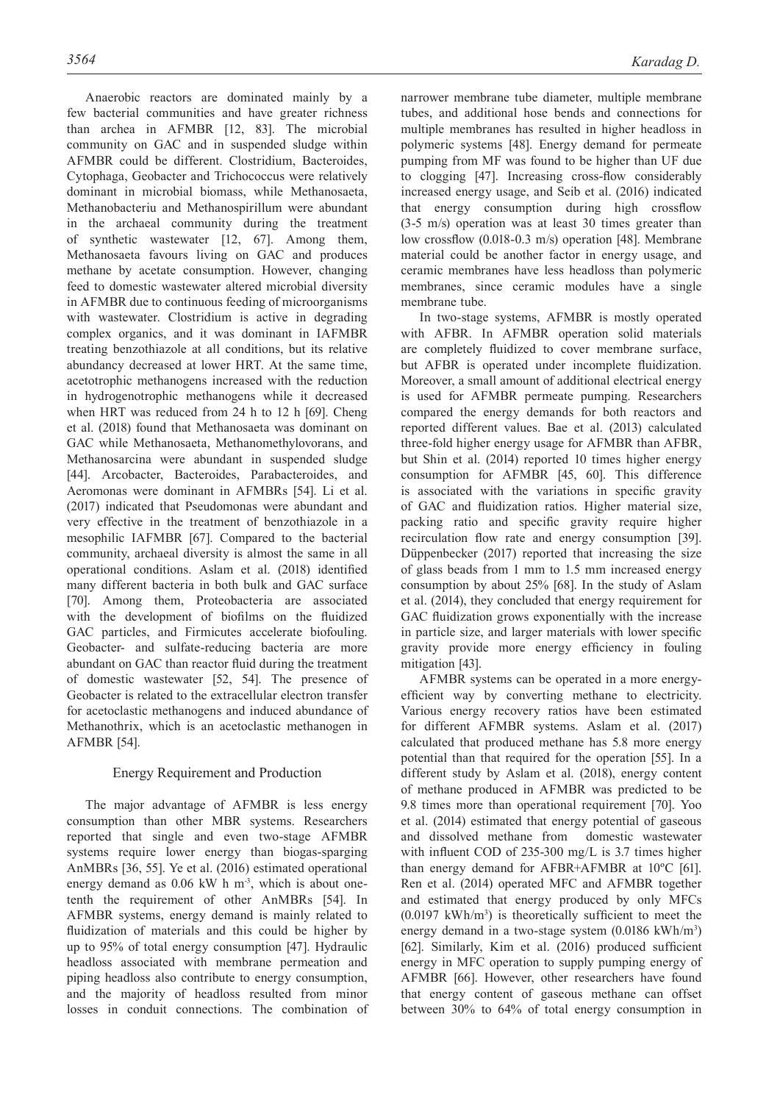Anaerobic reactors are dominated mainly by a few bacterial communities and have greater richness than archea in AFMBR [12, 83]. The microbial community on GAC and in suspended sludge within AFMBR could be different. Clostridium, Bacteroides, Cytophaga, Geobacter and Trichococcus were relatively dominant in microbial biomass, while Methanosaeta, Methanobacteriu and Methanospirillum were abundant in the archaeal community during the treatment of synthetic wastewater [12, 67]. Among them, Methanosaeta favours living on GAC and produces methane by acetate consumption. However, changing feed to domestic wastewater altered microbial diversity in AFMBR due to continuous feeding of microorganisms with wastewater. Clostridium is active in degrading complex organics, and it was dominant in IAFMBR treating benzothiazole at all conditions, but its relative abundancy decreased at lower HRT. At the same time, acetotrophic methanogens increased with the reduction in hydrogenotrophic methanogens while it decreased when HRT was reduced from 24 h to 12 h [69]. Cheng et al. (2018) found that Methanosaeta was dominant on GAC while Methanosaeta, Methanomethylovorans, and Methanosarcina were abundant in suspended sludge [44]. Arcobacter, Bacteroides, Parabacteroides, and Aeromonas were dominant in AFMBRs [54]. Li et al. (2017) indicated that Pseudomonas were abundant and very effective in the treatment of benzothiazole in a mesophilic IAFMBR [67]. Compared to the bacterial community, archaeal diversity is almost the same in all operational conditions. Aslam et al. (2018) identified many different bacteria in both bulk and GAC surface [70]. Among them, Proteobacteria are associated with the development of biofilms on the fluidized GAC particles, and Firmicutes accelerate biofouling. Geobacter- and sulfate-reducing bacteria are more abundant on GAC than reactor fluid during the treatment of domestic wastewater [52, 54]. The presence of Geobacter is related to the extracellular electron transfer for acetoclastic methanogens and induced abundance of Methanothrix, which is an acetoclastic methanogen in AFMBR [54].

# Energy Requirement and Production

The major advantage of AFMBR is less energy consumption than other MBR systems. Researchers reported that single and even two-stage AFMBR systems require lower energy than biogas-sparging AnMBRs [36, 55]. Ye et al. (2016) estimated operational energy demand as  $0.06$  kW h m<sup>-3</sup>, which is about onetenth the requirement of other AnMBRs [54]. In AFMBR systems, energy demand is mainly related to fluidization of materials and this could be higher by up to 95% of total energy consumption [47]. Hydraulic headloss associated with membrane permeation and piping headloss also contribute to energy consumption, and the majority of headloss resulted from minor losses in conduit connections. The combination of narrower membrane tube diameter, multiple membrane tubes, and additional hose bends and connections for multiple membranes has resulted in higher headloss in polymeric systems [48]. Energy demand for permeate pumping from MF was found to be higher than UF due to clogging [47]. Increasing cross-flow considerably increased energy usage, and Seib et al. (2016) indicated that energy consumption during high crossflow (3-5 m/s) operation was at least 30 times greater than low crossflow (0.018-0.3 m/s) operation [48]. Membrane material could be another factor in energy usage, and ceramic membranes have less headloss than polymeric membranes, since ceramic modules have a single membrane tube.

In two-stage systems, AFMBR is mostly operated with AFBR. In AFMBR operation solid materials are completely fluidized to cover membrane surface, but AFBR is operated under incomplete fluidization. Moreover, a small amount of additional electrical energy is used for AFMBR permeate pumping. Researchers compared the energy demands for both reactors and reported different values. Bae et al. (2013) calculated three-fold higher energy usage for AFMBR than AFBR, but Shin et al. (2014) reported 10 times higher energy consumption for AFMBR [45, 60]. This difference is associated with the variations in specific gravity of GAC and fluidization ratios. Higher material size, packing ratio and specific gravity require higher recirculation flow rate and energy consumption [39]. Düppenbecker (2017) reported that increasing the size of glass beads from 1 mm to 1.5 mm increased energy consumption by about 25% [68]. In the study of Aslam et al. (2014), they concluded that energy requirement for GAC fluidization grows exponentially with the increase in particle size, and larger materials with lower specific gravity provide more energy efficiency in fouling mitigation [43].

AFMBR systems can be operated in a more energyefficient way by converting methane to electricity. Various energy recovery ratios have been estimated for different AFMBR systems. Aslam et al. (2017) calculated that produced methane has 5.8 more energy potential than that required for the operation [55]. In a different study by Aslam et al. (2018), energy content of methane produced in AFMBR was predicted to be 9.8 times more than operational requirement [70]. Yoo et al. (2014) estimated that energy potential of gaseous and dissolved methane from domestic wastewater with influent COD of 235-300 mg/L is 3.7 times higher than energy demand for AFBR+AFMBR at 10ºC [61]. Ren et al. (2014) operated MFC and AFMBR together and estimated that energy produced by only MFCs  $(0.0197 \text{ kWh/m}^3)$  is theoretically sufficient to meet the energy demand in a two-stage system (0.0186 kWh/m<sup>3</sup>) [62]. Similarly, Kim et al. (2016) produced sufficient energy in MFC operation to supply pumping energy of AFMBR [66]. However, other researchers have found that energy content of gaseous methane can offset between 30% to 64% of total energy consumption in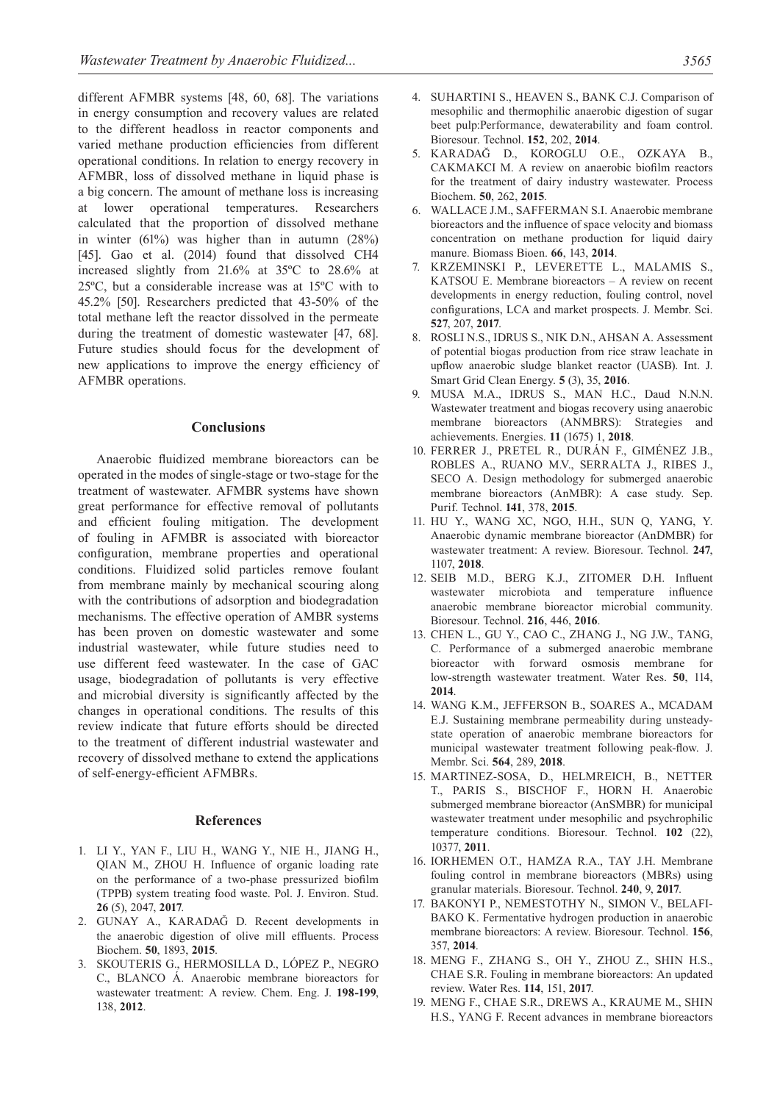different AFMBR systems [48, 60, 68]. The variations in energy consumption and recovery values are related to the different headloss in reactor components and varied methane production efficiencies from different operational conditions. In relation to energy recovery in AFMBR, loss of dissolved methane in liquid phase is a big concern. The amount of methane loss is increasing at lower operational temperatures. Researchers calculated that the proportion of dissolved methane in winter (61%) was higher than in autumn (28%) [45]. Gao et al. (2014) found that dissolved CH4 increased slightly from 21.6% at 35ºC to 28.6% at 25ºC, but a considerable increase was at 15ºC with to 45.2% [50]. Researchers predicted that 43-50% of the total methane left the reactor dissolved in the permeate during the treatment of domestic wastewater [47, 68]. Future studies should focus for the development of new applications to improve the energy efficiency of AFMBR operations.

#### **Conclusions**

Anaerobic fluidized membrane bioreactors can be operated in the modes of single-stage or two-stage for the treatment of wastewater. AFMBR systems have shown great performance for effective removal of pollutants and efficient fouling mitigation. The development of fouling in AFMBR is associated with bioreactor configuration, membrane properties and operational conditions. Fluidized solid particles remove foulant from membrane mainly by mechanical scouring along with the contributions of adsorption and biodegradation mechanisms. The effective operation of AMBR systems has been proven on domestic wastewater and some industrial wastewater, while future studies need to use different feed wastewater. In the case of GAC usage, biodegradation of pollutants is very effective and microbial diversity is significantly affected by the changes in operational conditions. The results of this review indicate that future efforts should be directed to the treatment of different industrial wastewater and recovery of dissolved methane to extend the applications of self-energy-efficient AFMBRs.

#### **References**

- 1. LI Y., YAN F., LIU H., WANG Y., NIE H., JIANG H., QIAN M., ZHOU H. Influence of organic loading rate on the performance of a two-phase pressurized biofilm (TPPB) system treating food waste. Pol. J. Environ. Stud. **26** (5), 2047, **2017**.
- 2. GUNAY A., KARADAĞ D. Recent developments in the anaerobic digestion of olive mill effluents. Process Biochem. **50**, 1893, **2015**.
- 3. SKOUTERIS G., HERMOSILLA D., LÓPEZ P., NEGRO C., BLANCO Á. Anaerobic membrane bioreactors for wastewater treatment: A review. Chem. Eng. J. **198-199**, 138, **2012**.
- 4. SUHARTINI S., HEAVEN S., BANK C.J. Comparison of mesophilic and thermophilic anaerobic digestion of sugar beet pulp:Performance, dewaterability and foam control. Bioresour. Technol. **152**, 202, **2014**.
- 5. KARADAĞ D., KOROGLU O.E., OZKAYA B., CAKMAKCI M. A review on anaerobic biofilm reactors for the treatment of dairy industry wastewater. Process Biochem. **50**, 262, **2015**.
- 6. WALLACE J.M., SAFFERMAN S.I. Anaerobic membrane bioreactors and the influence of space velocity and biomass concentration on methane production for liquid dairy manure. Biomass Bioen. **66**, 143, **2014**.
- 7. KRZEMINSKI P., LEVERETTE L., MALAMIS S., KATSOU E. Membrane bioreactors – A review on recent developments in energy reduction, fouling control, novel configurations, LCA and market prospects. J. Membr. Sci. **527**, 207, **2017**.
- 8. ROSLI N.S., IDRUS S., NIK D.N., AHSAN A. Assessment of potential biogas production from rice straw leachate in upflow anaerobic sludge blanket reactor (UASB). Int. J. Smart Grid Clean Energy. **5** (3), 35, **2016**.
- 9. MUSA M.A., IDRUS S., MAN H.C., Daud N.N.N. Wastewater treatment and biogas recovery using anaerobic membrane bioreactors (ANMBRS): Strategies and achievements. Energies. **11** (1675) 1, **2018**.
- 10. FERRER J., PRETEL R., DURÁN F., GIMÉNEZ J.B., ROBLES A., RUANO M.V., SERRALTA J., RIBES J., SECO A. Design methodology for submerged anaerobic membrane bioreactors (AnMBR): A case study. Sep. Purif. Technol. **141**, 378, **2015**.
- 11. HU Y., WANG XC, NGO, H.H., SUN Q, YANG, Y. Anaerobic dynamic membrane bioreactor (AnDMBR) for wastewater treatment: A review. Bioresour. Technol. **247**, 1107, **2018**.
- 12. SEIB M.D., BERG K.J., ZITOMER D.H. Influent wastewater microbiota and temperature influence anaerobic membrane bioreactor microbial community. Bioresour. Technol. **216**, 446, **2016**.
- 13. CHEN L., GU Y., CAO C., ZHANG J., NG J.W., TANG, C. Performance of a submerged anaerobic membrane bioreactor with forward osmosis membrane for low-strength wastewater treatment. Water Res. **50**, 114, **2014**.
- 14. WANG K.M., JEFFERSON B., SOARES A., MCADAM E.J. Sustaining membrane permeability during unsteadystate operation of anaerobic membrane bioreactors for municipal wastewater treatment following peak-flow. J. Membr. Sci. **564**, 289, **2018**.
- 15. MARTINEZ-SOSA, D., HELMREICH, B., NETTER T., PARIS S., BISCHOF F., HORN H. Anaerobic submerged membrane bioreactor (AnSMBR) for municipal wastewater treatment under mesophilic and psychrophilic temperature conditions. Bioresour. Technol. **102** (22), 10377, **2011**.
- 16. IORHEMEN O.T., HAMZA R.A., TAY J.H. Membrane fouling control in membrane bioreactors (MBRs) using granular materials. Bioresour. Technol. **240**, 9, **2017**.
- 17. BAKONYI P., NEMESTOTHY N., SIMON V., BELAFI-BAKO K. Fermentative hydrogen production in anaerobic membrane bioreactors: A review. Bioresour. Technol. **156**, 357, **2014**.
- 18. MENG F., ZHANG S., OH Y., ZHOU Z., SHIN H.S., CHAE S.R. Fouling in membrane bioreactors: An updated review. Water Res. **114**, 151, **2017**.
- 19. MENG F., CHAE S.R., DREWS A., KRAUME M., SHIN H.S., YANG F. Recent advances in membrane bioreactors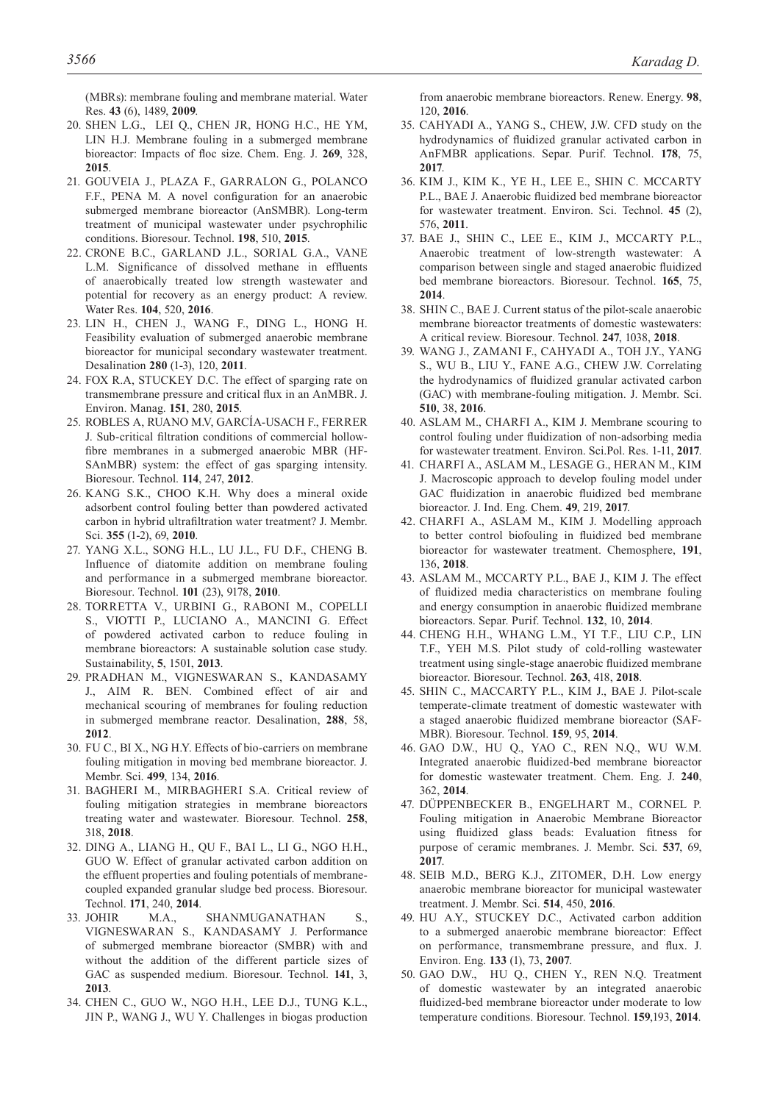(MBRs): membrane fouling and membrane material. Water Res. **43** (6), 1489, **2009**.

- 20. SHEN L.G., LEI Q., CHEN JR, HONG H.C., HE YM, LIN H.J. Membrane fouling in a submerged membrane bioreactor: Impacts of floc size. Chem. Eng. J. **269**, 328, **2015**.
- 21. GOUVEIA J., PLAZA F., GARRALON G., POLANCO F.F., PENA M. A novel configuration for an anaerobic submerged membrane bioreactor (AnSMBR). Long-term treatment of municipal wastewater under psychrophilic conditions. Bioresour. Technol. **198**, 510, **2015**.
- 22. CRONE B.C., GARLAND J.L., SORIAL G.A., VANE L.M. Significance of dissolved methane in effluents of anaerobically treated low strength wastewater and potential for recovery as an energy product: A review. Water Res. **104**, 520, **2016**.
- 23. LIN H., CHEN J., WANG F., DING L., HONG H. Feasibility evaluation of submerged anaerobic membrane bioreactor for municipal secondary wastewater treatment. Desalination **280** (1-3), 120, **2011**.
- 24. FOX R.A, STUCKEY D.C. The effect of sparging rate on transmembrane pressure and critical flux in an AnMBR. J. Environ. Manag. **151**, 280, **2015**.
- 25. ROBLES A, RUANO M.V, GARCÍA-USACH F., FERRER J. Sub-critical filtration conditions of commercial hollowfibre membranes in a submerged anaerobic MBR (HF-SAnMBR) system: the effect of gas sparging intensity. Bioresour. Technol. **114**, 247, **2012**.
- 26. KANG S.K., CHOO K.H. Why does a mineral oxide adsorbent control fouling better than powdered activated carbon in hybrid ultrafiltration water treatment? J. Membr. Sci. **355** (1-2), 69, **2010**.
- 27. YANG X.L., SONG H.L., LU J.L., FU D.F., CHENG B. Influence of diatomite addition on membrane fouling and performance in a submerged membrane bioreactor. Bioresour. Technol. **101** (23), 9178, **2010**.
- 28. TORRETTA V., URBINI G., RABONI M., COPELLI S., VIOTTI P., LUCIANO A., MANCINI G. Effect of powdered activated carbon to reduce fouling in membrane bioreactors: A sustainable solution case study. Sustainability, **5**, 1501, **2013**.
- 29. PRADHAN M., VIGNESWARAN S., KANDASAMY J., AIM R. BEN. Combined effect of air and mechanical scouring of membranes for fouling reduction in submerged membrane reactor. Desalination, **288**, 58, **2012**.
- 30. FU C., BI X., NG H.Y. Effects of bio-carriers on membrane fouling mitigation in moving bed membrane bioreactor. J. Membr. Sci. **499**, 134, **2016**.
- 31. BAGHERI M., MIRBAGHERI S.A. Critical review of fouling mitigation strategies in membrane bioreactors treating water and wastewater. Bioresour. Technol. **258**, 318, **2018**.
- 32. DING A., LIANG H., QU F., BAI L., LI G., NGO H.H., GUO W. Effect of granular activated carbon addition on the effluent properties and fouling potentials of membranecoupled expanded granular sludge bed process. Bioresour. Technol. **171**, 240, **2014**.
- 33. JOHIR M.A., SHANMUGANATHAN S., VIGNESWARAN S., KANDASAMY J. Performance of submerged membrane bioreactor (SMBR) with and without the addition of the different particle sizes of GAC as suspended medium. Bioresour. Technol. **141**, 3, **2013**.
- 34. CHEN C., GUO W., NGO H.H., LEE D.J., TUNG K.L., JIN P., WANG J., WU Y. Challenges in biogas production

from anaerobic membrane bioreactors. Renew. Energy. **98**, 120, **2016**.

- 35. CAHYADI A., YANG S., CHEW, J.W. CFD study on the hydrodynamics of fluidized granular activated carbon in AnFMBR applications. Separ. Purif. Technol. **178**, 75, **2017**.
- 36. KIM J., KIM K., YE H., LEE E., SHIN C. MCCARTY P.L., BAE J. Anaerobic fluidized bed membrane bioreactor for wastewater treatment. Environ. Sci. Technol. **45** (2), 576, **2011**.
- 37. BAE J., SHIN C., LEE E., KIM J., MCCARTY P.L., Anaerobic treatment of low-strength wastewater: A comparison between single and staged anaerobic fluidized bed membrane bioreactors. Bioresour. Technol. **165**, 75, **2014**.
- 38. SHIN C., BAE J. Current status of the pilot-scale anaerobic membrane bioreactor treatments of domestic wastewaters: A critical review. Bioresour. Technol. **247**, 1038, **2018**.
- 39. WANG J., ZAMANI F., CAHYADI A., TOH J.Y., YANG S., WU B., LIU Y., FANE A.G., CHEW J.W. Correlating the hydrodynamics of fluidized granular activated carbon (GAC) with membrane-fouling mitigation. J. Membr. Sci. **510**, 38, **2016**.
- 40. ASLAM M., CHARFI A., KIM J. Membrane scouring to control fouling under fluidization of non-adsorbing media for wastewater treatment. Environ. Sci.Pol. Res. 1-11, **2017**.
- 41. CHARFI A., ASLAM M., LESAGE G., HERAN M., KIM J. Macroscopic approach to develop fouling model under GAC fluidization in anaerobic fluidized bed membrane bioreactor. J. Ind. Eng. Chem. **49**, 219, **2017**.
- 42. CHARFI A., ASLAM M., KIM J. Modelling approach to better control biofouling in fluidized bed membrane bioreactor for wastewater treatment. Chemosphere, **191**, 136, **2018**.
- 43. ASLAM M., MCCARTY P.L., BAE J., KIM J. The effect of fluidized media characteristics on membrane fouling and energy consumption in anaerobic fluidized membrane bioreactors. Separ. Purif. Technol. **132**, 10, **2014**.
- 44. CHENG H.H., WHANG L.M., YI T.F., LIU C.P., LIN T.F., YEH M.S. Pilot study of cold-rolling wastewater treatment using single-stage anaerobic fluidized membrane bioreactor. Bioresour. Technol. **263**, 418, **2018**.
- 45. SHIN C., MACCARTY P.L., KIM J., BAE J. Pilot-scale temperate-climate treatment of domestic wastewater with a staged anaerobic fluidized membrane bioreactor (SAF-MBR). Bioresour. Technol. **159**, 95, **2014**.
- 46. GAO D.W., HU Q., YAO C., REN N.Q., WU W.M. Integrated anaerobic fluidized-bed membrane bioreactor for domestic wastewater treatment. Chem. Eng. J. **240**, 362, **2014**.
- 47. DÜPPENBECKER B., ENGELHART M., CORNEL P. Fouling mitigation in Anaerobic Membrane Bioreactor using fluidized glass beads: Evaluation fitness for purpose of ceramic membranes. J. Membr. Sci. **537**, 69, **2017**.
- 48. SEIB M.D., BERG K.J., ZITOMER, D.H. Low energy anaerobic membrane bioreactor for municipal wastewater treatment. J. Membr. Sci. **514**, 450, **2016**.
- 49. HU A.Y., STUCKEY D.C., Activated carbon addition to a submerged anaerobic membrane bioreactor: Effect on performance, transmembrane pressure, and flux. J. Environ. Eng. **133** (1), 73, **2007**.
- 50. GAO D.W., HU Q., CHEN Y., REN N.Q. Treatment of domestic wastewater by an integrated anaerobic fluidized-bed membrane bioreactor under moderate to low temperature conditions. Bioresour. Technol. **159**,193, **2014**.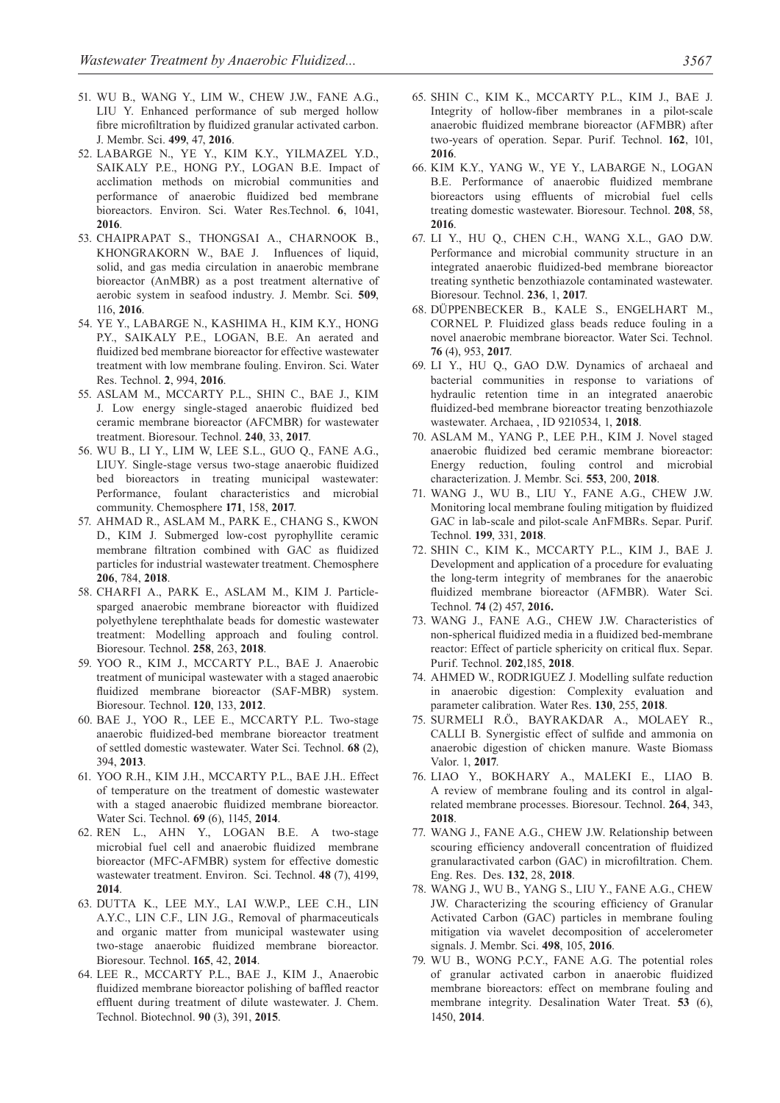- 51. WU B., WANG Y., LIM W., CHEW J.W., FANE A.G., LIU Y. Enhanced performance of sub merged hollow fibre microfiltration by fluidized granular activated carbon. J. Membr. Sci. **499**, 47, **2016**.
- 52. LABARGE N., YE Y., KIM K.Y., YILMAZEL Y.D., SAIKALY P.E., HONG P.Y., LOGAN B.E. Impact of acclimation methods on microbial communities and performance of anaerobic fluidized bed membrane bioreactors. Environ. Sci. Water Res.Technol. **6**, 1041, **2016**.
- 53. CHAIPRAPAT S., THONGSAI A., CHARNOOK B., KHONGRAKORN W., BAE J. Influences of liquid, solid, and gas media circulation in anaerobic membrane bioreactor (AnMBR) as a post treatment alternative of aerobic system in seafood industry. J. Membr. Sci. **509**, 116, **2016**.
- 54. YE Y., LABARGE N., KASHIMA H., KIM K.Y., HONG P.Y., SAIKALY P.E., LOGAN, B.E. An aerated and fluidized bed membrane bioreactor for effective wastewater treatment with low membrane fouling. Environ. Sci. Water Res. Technol. **2**, 994, **2016**.
- 55. ASLAM M., MCCARTY P.L., SHIN C., BAE J., KIM J. Low energy single-staged anaerobic fluidized bed ceramic membrane bioreactor (AFCMBR) for wastewater treatment. Bioresour. Technol. **240**, 33, **2017**.
- 56. WU B., LI Y., LIM W, LEE S.L., GUO Q., FANE A.G., LIUY. Single-stage versus two-stage anaerobic fluidized bed bioreactors in treating municipal wastewater: Performance, foulant characteristics and microbial community. Chemosphere **171**, 158, **2017**.
- 57. AHMAD R., ASLAM M., PARK E., CHANG S., KWON D., KIM J. Submerged low-cost pyrophyllite ceramic membrane filtration combined with GAC as fluidized particles for industrial wastewater treatment. Chemosphere **206**, 784, **2018**.
- 58. CHARFI A., PARK E., ASLAM M., KIM J. Particlesparged anaerobic membrane bioreactor with fluidized polyethylene terephthalate beads for domestic wastewater treatment: Modelling approach and fouling control. Bioresour. Technol. **258**, 263, **2018**.
- 59. YOO R., KIM J., MCCARTY P.L., BAE J. Anaerobic treatment of municipal wastewater with a staged anaerobic fluidized membrane bioreactor (SAF-MBR) system. Bioresour. Technol. **120**, 133, **2012**.
- 60. BAE J., YOO R., LEE E., MCCARTY P.L. Two-stage anaerobic fluidized-bed membrane bioreactor treatment of settled domestic wastewater. Water Sci. Technol. **68** (2), 394, **2013**.
- 61. YOO R.H., KIM J.H., MCCARTY P.L., BAE J.H.. Effect of temperature on the treatment of domestic wastewater with a staged anaerobic fluidized membrane bioreactor. Water Sci. Technol. **69** (6), 1145, **2014**.
- 62. REN L., AHN Y., LOGAN B.E. A two-stage microbial fuel cell and anaerobic fluidized membrane bioreactor (MFC-AFMBR) system for effective domestic wastewater treatment. Environ. Sci. Technol. **48** (7), 4199, **2014**.
- 63. DUTTA K., LEE M.Y., LAI W.W.P., LEE C.H., LIN A.Y.C., LIN C.F., LIN J.G., Removal of pharmaceuticals and organic matter from municipal wastewater using two-stage anaerobic fluidized membrane bioreactor. Bioresour. Technol. **165**, 42, **2014**.
- 64. LEE R., MCCARTY P.L., BAE J., KIM J., Anaerobic fluidized membrane bioreactor polishing of baffled reactor effluent during treatment of dilute wastewater. J. Chem. Technol. Biotechnol. **90** (3), 391, **2015**.
- 65. SHIN C., KIM K., MCCARTY P.L., KIM J., BAE J. Integrity of hollow-fiber membranes in a pilot-scale anaerobic fluidized membrane bioreactor (AFMBR) after two-years of operation. Separ. Purif. Technol. **162**, 101, **2016**.
- 66. KIM K.Y., YANG W., YE Y., LABARGE N., LOGAN B.E. Performance of anaerobic fluidized membrane bioreactors using effluents of microbial fuel cells treating domestic wastewater. Bioresour. Technol. **208**, 58, **2016**.
- 67. LI Y., HU Q., CHEN C.H., WANG X.L., GAO D.W. Performance and microbial community structure in an integrated anaerobic fluidized-bed membrane bioreactor treating synthetic benzothiazole contaminated wastewater. Bioresour. Technol. **236**, 1, **2017**.
- 68. DÜPPENBECKER B., KALE S., ENGELHART M., CORNEL P. Fluidized glass beads reduce fouling in a novel anaerobic membrane bioreactor. Water Sci. Technol. **76** (4), 953, **2017**.
- 69. LI Y., HU Q., GAO D.W. Dynamics of archaeal and bacterial communities in response to variations of hydraulic retention time in an integrated anaerobic fluidized-bed membrane bioreactor treating benzothiazole wastewater. Archaea, , ID 9210534, 1, **2018**.
- 70. ASLAM M., YANG P., LEE P.H., KIM J. Novel staged anaerobic fluidized bed ceramic membrane bioreactor: Energy reduction, fouling control and microbial characterization. J. Membr. Sci. **553**, 200, **2018**.
- 71. WANG J., WU B., LIU Y., FANE A.G., CHEW J.W. Monitoring local membrane fouling mitigation by fluidized GAC in lab-scale and pilot-scale AnFMBRs. Separ. Purif. Technol. **199**, 331, **2018**.
- 72. SHIN C., KIM K., MCCARTY P.L., KIM J., BAE J. Development and application of a procedure for evaluating the long-term integrity of membranes for the anaerobic fluidized membrane bioreactor (AFMBR). Water Sci. Technol. **74** (2) 457, **2016.**
- 73. WANG J., FANE A.G., CHEW J.W. Characteristics of non-spherical fluidized media in a fluidized bed-membrane reactor: Effect of particle sphericity on critical flux. Separ. Purif. Technol. **202**,185, **2018**.
- 74. AHMED W., RODRIGUEZ J. Modelling sulfate reduction in anaerobic digestion: Complexity evaluation and parameter calibration. Water Res. **130**, 255, **2018**.
- 75. SURMELI R.Ö., BAYRAKDAR A., MOLAEY R., CALLI B. Synergistic effect of sulfide and ammonia on anaerobic digestion of chicken manure. Waste Biomass Valor. 1, **2017**.
- 76. LIAO Y., BOKHARY A., MALEKI E., LIAO B. A review of membrane fouling and its control in algalrelated membrane processes. Bioresour. Technol. **264**, 343, **2018**.
- 77. WANG J., FANE A.G., CHEW J.W. Relationship between scouring efficiency andoverall concentration of fluidized granularactivated carbon (GAC) in microfiltration. Chem. Eng. Res. Des. **132**, 28, **2018**.
- 78. WANG J., WU B., YANG S., LIU Y., FANE A.G., CHEW JW. Characterizing the scouring efficiency of Granular Activated Carbon (GAC) particles in membrane fouling mitigation via wavelet decomposition of accelerometer signals. J. Membr. Sci. **498**, 105, **2016**.
- 79. WU B., WONG P.C.Y., FANE A.G. The potential roles of granular activated carbon in anaerobic fluidized membrane bioreactors: effect on membrane fouling and membrane integrity. Desalination Water Treat. **53** (6), 1450, **2014**.